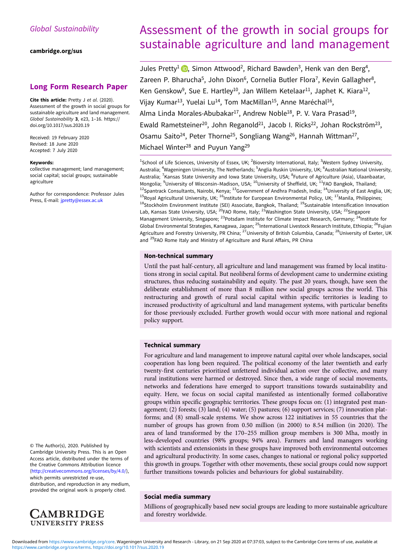[cambridge.org/sus](https://www.cambridge.org/sus)

# Long Form Research Paper

Cite this article: Pretty J et al. (2020). Assessment of the growth in social groups for sustainable agriculture and land management. Global Sustainability 3, e23, 1–16. [https://](https://doi.org/10.1017/sus.2020.19) [doi.org/10.1017/sus.2020.19](https://doi.org/10.1017/sus.2020.19)

Received: 19 February 2020 Revised: 18 June 2020 Accepted: 7 July 2020

#### Keywords:

collective management; land management; social capital; social groups; sustainable agriculture

Author for correspondence: Professor Jules Press, E-mail: [jpretty@essex.ac.uk](mailto:jpretty@essex.ac.uk)

© The Author(s), 2020. Published by Cambridge University Press. This is an Open Access article, distributed under the terms of the Creative Commons Attribution licence ([http://creativecommons.org/licenses/by/4.0/\)](http://creativecommons.org/licenses/by/4.0/), which permits unrestricted re-use,

distribution, and reproduction in any medium, provided the original work is properly cited.



# Assessment of the growth in social groups for sustainable agriculture and land management

Jules Pretty<sup>1</sup>  $\bullet$ , Simon Attwood<sup>2</sup>, Richard Bawden<sup>3</sup>, Henk van den Berg<sup>4</sup>, Zareen P. Bharucha<sup>5</sup>, John Dixon<sup>6</sup>, Cornelia Butler Flora<sup>7</sup>, Kevin Gallagher<sup>8</sup>, Ken Genskow<sup>9</sup>, Sue E. Hartley<sup>10</sup>, Jan Willem Ketelaar<sup>11</sup>, Japhet K. Kiara<sup>12</sup>, Vijay Kumar<sup>13</sup>, Yuelai Lu<sup>14</sup>, Tom MacMillan<sup>15</sup>, Anne Maréchal<sup>16</sup>, Alma Linda Morales-Abubakar<sup>17</sup>, Andrew Noble<sup>18</sup>, P. V. Vara Prasad<sup>19</sup>, Ewald Rametsteiner<sup>20</sup>, John Reganold<sup>21</sup>, Jacob I. Ricks<sup>22</sup>, Johan Rockström<sup>23</sup>, Osamu Saito<sup>24</sup>, Peter Thorne<sup>25</sup>, Songliang Wang<sup>26</sup>, Hannah Wittman<sup>27</sup>, Michael Winter<sup>28</sup> and Puyun Yang<sup>29</sup>

<sup>1</sup>School of Life Sciences, University of Essex, UK; <sup>2</sup>Bioversity International, Italy; <sup>3</sup>Western Sydney University Australia; <sup>4</sup>Wageningen University, The Netherlands; <sup>5</sup>Anglia Ruskin University, UK; <sup>6</sup>Australian National University, Australia; <sup>7</sup>Kansas State University and Iowa State University, USA; <sup>8</sup>Future of Agriculture (Asia), Ulaanbaatar, Mongolia; <sup>9</sup>University of Wisconsin-Madison, USA; <sup>10</sup>University of Sheffield, UK; <sup>11</sup>FAO Bangkok, Thailand; <sup>12</sup>Spantrack Consultants, Nairobi, Kenya; <sup>13</sup>Government of Andhra Pradesh, India; <sup>14</sup>University of East Anglia, UK; <sup>15</sup>Royal Agricultural University, UK; <sup>16</sup>Institute for European Environmental Policy, UK; <sup>17</sup>Manila, Philippines; <sup>18</sup>Stockholm Environment Institute (SEI) Associate, Bangkok, Thailand; <sup>19</sup>Sustainable Intensification Innovation Lab, Kansas State University, USA; <sup>20</sup>FAO Rome, Italy; <sup>21</sup>Washington State University, USA; <sup>22</sup>Singapore Management University, Singapore; <sup>23</sup>Potsdam Institute for Climate Impact Research, Germany; <sup>24</sup>Institute for Global Environmental Strategies, Kanagawa, Japan; <sup>25</sup>International Livestock Research Institute, Ethiopia; <sup>26</sup>Fujian Agriculture and Forestry University, PR China; <sup>27</sup>University of British Columbia, Canada; <sup>28</sup>University of Exeter, UK and <sup>29</sup>FAO Rome Italy and Ministry of Agriculture and Rural Affairs, PR China

## Non-technical summary

Until the past half-century, all agriculture and land management was framed by local institutions strong in social capital. But neoliberal forms of development came to undermine existing structures, thus reducing sustainability and equity. The past 20 years, though, have seen the deliberate establishment of more than 8 million new social groups across the world. This restructuring and growth of rural social capital within specific territories is leading to increased productivity of agricultural and land management systems, with particular benefits for those previously excluded. Further growth would occur with more national and regional policy support.

## Technical summary

For agriculture and land management to improve natural capital over whole landscapes, social cooperation has long been required. The political economy of the later twentieth and early twenty-first centuries prioritized unfettered individual action over the collective, and many rural institutions were harmed or destroyed. Since then, a wide range of social movements, networks and federations have emerged to support transitions towards sustainability and equity. Here, we focus on social capital manifested as intentionally formed collaborative groups within specific geographic territories. These groups focus on: (1) integrated pest management; (2) forests; (3) land; (4) water; (5) pastures; (6) support services; (7) innovation platforms; and (8) small-scale systems. We show across 122 initiatives in 55 countries that the number of groups has grown from 0.50 million (in 2000) to 8.54 million (in 2020). The area of land transformed by the 170–255 million group members is 300 Mha, mostly in less-developed countries (98% groups; 94% area). Farmers and land managers working with scientists and extensionists in these groups have improved both environmental outcomes and agricultural productivity. In some cases, changes to national or regional policy supported this growth in groups. Together with other movements, these social groups could now support further transitions towards policies and behaviours for global sustainability.

## Social media summary

Millions of geographically based new social groups are leading to more sustainable agriculture and forestry worldwide.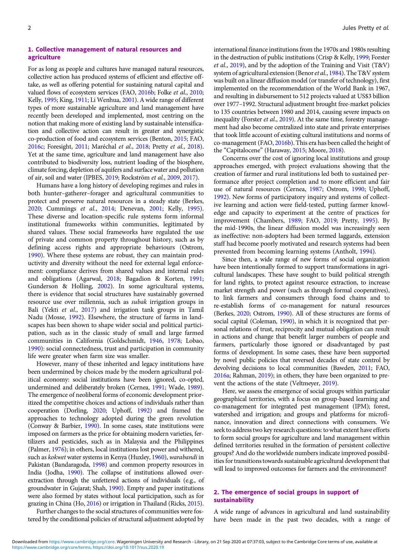## 1. Collective management of natural resources and agriculture

For as long as people and cultures have managed natural resources, collective action has produced systems of efficient and effective offtake, as well as offering potential for sustaining natural capital and valued flows of ecosystem services (FAO, [2016b;](#page-12-0) Folke et al., [2010](#page-12-0); Kelly, [1995](#page-13-0); King, [1911](#page-13-0); Li Wenhua, [2001](#page-13-0)). A wide range of different types of more sustainable agriculture and land management have recently been developed and implemented, most centring on the notion that making more of existing land by sustainable intensification and collective action can result in greater and synergistic co-production of food and ecosystem services (Benton, [2015;](#page-11-0) FAO, [2016c](#page-12-0); Foresight, [2011](#page-12-0); Maréchal et al., [2018;](#page-14-0) Pretty et al., [2018\)](#page-14-0). Yet at the same time, agriculture and land management have also contributed to biodiversity loss, nutrient loading of the biosphere, climate forcing, depletion of aquifers and surface water and pollution of air, soil and water (IPBES, [2019](#page-13-0); Rockström et al., [2009](#page-14-0), [2017](#page-14-0)).

Humans have a long history of developing regimes and rules in both hunter–gatherer–forager and agricultural communities to protect and preserve natural resources in a steady state (Berkes, [2020;](#page-11-0) Cummings et al., [2014](#page-12-0); Denevan, [2001](#page-12-0); Kelly, [1995\)](#page-13-0). These diverse and location-specific rule systems form informal institutional frameworks within communities, legitimated by shared values. These social frameworks have regulated the use of private and common property throughout history, such as by defining access rights and appropriate behaviours (Ostrom, [1990\)](#page-14-0). Where these systems are robust, they can maintain productivity and diversity without the need for external legal enforcement: compliance derives from shared values and internal rules and obligations (Agarwal, [2018;](#page-11-0) Bagadion & Korten, [1991](#page-11-0); Gunderson & Holling, [2002\)](#page-13-0). In some agricultural systems, there is evidence that social structures have sustainably governed resource use over millennia, such as subak irrigation groups in Bali (Yekti et al., [2017\)](#page-15-0) and irrigation tank groups in Tamil Nadu (Mosse, [1992\)](#page-14-0). Elsewhere, the structure of farms in landscapes has been shown to shape wider social and political participation, such as in the classic study of small and large farmed communities in California (Goldschmidt, [1946](#page-13-0), [1978;](#page-13-0) Lobao, [1990\)](#page-13-0): social connectedness, trust and participation in community life were greater when farm size was smaller.

However, many of these inherited and legacy institutions have been undermined by choices made by the modern agricultural political economy: social institutions have been ignored, co-opted, undermined and deliberately broken (Cernea, [1991;](#page-12-0) Wade, [1989\)](#page-15-0). The emergence of neoliberal forms of economic development prioritized the competitive choices and actions of individuals rather than cooperation (Dorling, [2020;](#page-12-0) Uphoff, [1992\)](#page-15-0) and framed the approaches to technology adopted during the green revolution (Conway & Barbier, [1990\)](#page-12-0). In some cases, state institutions were imposed on farmers as the price for obtaining modern varieties, fertilizers and pesticides, such as in Malaysia and the Philippines (Palmer, [1976](#page-14-0)); in others, local institutions lost power and withered, such as kokwet water systems in Kenya (Huxley, [1960](#page-13-0)), warabandi in Pakistan (Bandaragoda, [1998\)](#page-11-0) and common property resources in India (Jodha, [1990\)](#page-13-0). The collapse of institutions allowed overextraction through the unfettered actions of individuals (e.g., of groundwater in Gujarat; Shah, [1990](#page-14-0)). Empty and paper institutions were also formed by states without local participation, such as for grazing in China (Ho, [2016\)](#page-13-0) or irrigation in Thailand (Ricks, [2015\)](#page-14-0).

Further changes to the social structures of communities were fostered by the conditional policies of structural adjustment adopted by international finance institutions from the 1970s and 1980s resulting in the destruction of public institutions (Crisp & Kelly, [1999;](#page-12-0) Forster et al., [2019\)](#page-12-0), and by the adoption of the Training and Visit (T&V) system of agricultural extension (Benor et al., [1984](#page-11-0)). The T&V system was built on a linear diffusion model (or transfer of technology), first implemented on the recommendation of the World Bank in 1967, and resulting in disbursement to 512 projects valued at US\$3 billion over 1977–1992. Structural adjustment brought free-market policies to 135 countries between 1980 and 2014, causing severe impacts on inequality (Forster et al., [2019\)](#page-12-0). At the same time, forestry management had also become centralized into state and private enterprises that took little account of existing cultural institutions and norms of co-management (FAO, [2016b\)](#page-12-0). This era has been called the height of the "Capitalocene" (Haraway, [2015;](#page-13-0) Moore, [2018](#page-14-0)).

Concerns over the cost of ignoring local institutions and group approaches emerged, with project evaluations showing that the creation of farmer and rural institutions led both to sustained performance after project completion and to more efficient and fair use of natural resources (Cernea, [1987](#page-12-0); Ostrom, [1990;](#page-14-0) Uphoff, [1992\)](#page-15-0). New forms of participatory inquiry and systems of collective learning and action were field-tested, putting farmer knowledge and capacity to experiment at the centre of practices for improvement (Chambers, [1989](#page-12-0); FAO, [2019](#page-12-0); Pretty, [1995](#page-14-0)). By the mid-1990s, the linear diffusion model was increasingly seen as ineffective: non-adopters had been termed laggards, extension staff had become poorly motivated and research systems had been prevented from becoming learning systems (Antholt, [1994](#page-11-0)).

Since then, a wide range of new forms of social organization have been intentionally formed to support transformations in agricultural landscapes. These have sought to build political strength for land rights, to protect against resource extraction, to increase market strength and power (such as through formal cooperatives), to link farmers and consumers through food chains and to re-establish forms of co-management for natural resources (Berkes, [2020;](#page-11-0) Ostrom, [1990\)](#page-14-0). All of these structures are forms of social capital (Coleman, [1990](#page-12-0)), in which it is recognized that personal relations of trust, reciprocity and mutual obligation can result in actions and change that benefit larger numbers of people and farmers, particularly those ignored or disadvantaged by past forms of development. In some cases, these have been supported by novel public policies that reversed decades of state control by devolving decisions to local communities (Bawden, [2011](#page-11-0); FAO, [2016a](#page-12-0); Rahman, [2019](#page-14-0)); in others, they have been organized to prevent the actions of the state (Veltmeyer, [2019](#page-15-0)).

Here, we assess the emergence of social groups within particular geographical territories, with a focus on group-based learning and co-management for integrated pest management (IPM); forest, watershed and irrigation; and groups and platforms for microfinance, innovation and direct connections with consumers. We seek to address two key research questions: towhat extent have efforts to form social groups for agriculture and land management within defined territories resulted in the formation of persistent collective groups? And do the worldwide numbers indicate improved possibilities for transitions towards sustainable agricultural development that will lead to improved outcomes for farmers and the environment?

# 2. The emergence of social groups in support of sustainability

A wide range of advances in agricultural and land sustainability have been made in the past two decades, with a range of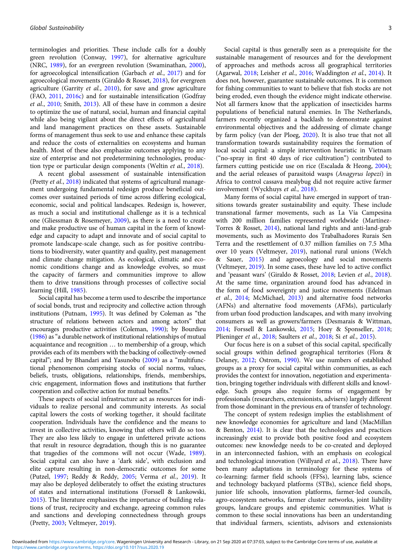terminologies and priorities. These include calls for a doubly green revolution (Conway, [1997\)](#page-12-0), for alternative agriculture (NRC, [1989\)](#page-14-0), for an evergreen revolution (Swaminathan, [2000\)](#page-15-0), for agroecological intensification (Garbach et al., [2017\)](#page-13-0) and for agroecological movements (Giraldo & Rosset, [2018\)](#page-13-0), for evergreen agriculture (Garrity et al., [2010](#page-13-0)), for save and grow agriculture (FAO, [2011,](#page-12-0) [2016c\)](#page-12-0) and for sustainable intensification (Godfray et al., [2010](#page-13-0); Smith, [2013\)](#page-15-0). All of these have in common a desire to optimize the use of natural, social, human and financial capital while also being vigilant about the direct effects of agricultural and land management practices on these assets. Sustainable forms of management thus seek to use and enhance these capitals and reduce the costs of externalities on ecosystems and human health. Most of these also emphasize outcomes applying to any size of enterprise and not predetermining technologies, production type or particular design components (Weltin et al., [2018\)](#page-15-0).

A recent global assessment of sustainable intensification (Pretty et al., [2018\)](#page-14-0) indicated that systems of agricultural management undergoing fundamental redesign produce beneficial outcomes over sustained periods of time across differing ecological, economic, social and political landscapes. Redesign is, however, as much a social and institutional challenge as it is a technical one (Gliessman & Rosemeyer, [2009\)](#page-13-0), as there is a need to create and make productive use of human capital in the form of knowledge and capacity to adapt and innovate and of social capital to promote landscape-scale change, such as for positive contributions to biodiversity, water quantity and quality, pest management and climate change mitigation. As ecological, climatic and economic conditions change and as knowledge evolves, so must the capacity of farmers and communities improve to allow them to drive transitions through processes of collective social learning (Hill, [1985](#page-13-0)).

Social capital has become a term used to describe the importance of social bonds, trust and reciprocity and collective action through institutions (Putnam, [1995](#page-14-0)). It was defined by Coleman as "the structure of relations between actors and among actors" that encourages productive activities (Coleman, [1990\)](#page-12-0); by Bourdieu ([1986\)](#page-12-0) as"a durable network of institutional relationships of mutual acquaintance and recognition … to membership of a group, which provides each of its members with the backing of collectively-owned capital"; and by Bhandari and Yasunobu [\(2009](#page-12-0)) as a "multifunctional phenomenon comprising stocks of social norms, values, beliefs, trusts, obligations, relationships, friends, memberships, civic engagement, information flows and institutions that further cooperation and collective action for mutual benefits."

These aspects of social infrastructure act as resources for individuals to realize personal and community interests. As social capital lowers the costs of working together, it should facilitate cooperation. Individuals have the confidence and the means to invest in collective activities, knowing that others will do so too. They are also less likely to engage in unfettered private actions that result in resource degradation, though this is no guarantee that tragedies of the commons will not occur (Wade, [1989\)](#page-15-0). Social capital can also have a 'dark side', with exclusion and elite capture resulting in non-democratic outcomes for some (Putzel, [1997;](#page-14-0) Reddy & Reddy, [2005](#page-14-0); Verma et al., [2019\)](#page-15-0). It may also be deployed deliberately to offset the existing structures of states and international institutions (Forssell & Lankowski, [2015\)](#page-12-0). The literature emphasizes the importance of building relations of trust, reciprocity and exchange, agreeing common rules and sanctions and developing connectedness through groups (Pretty, [2003;](#page-14-0) Veltmeyer, [2019](#page-15-0)).

Social capital is thus generally seen as a prerequisite for the sustainable management of resources and for the development of approaches and methods across all geographical territories (Agarwal, [2018](#page-11-0); Leisher et al., [2016](#page-13-0); Waddington et al., [2014](#page-15-0)). It does not, however, guarantee sustainable outcomes. It is common for fishing communities to want to believe that fish stocks are not being eroded, even though the evidence might indicate otherwise. Not all farmers know that the application of insecticides harms populations of beneficial natural enemies. In The Netherlands, farmers recently organized a backlash to demonstrate against environmental objectives and the addressing of climate change by farm policy (van der Ploeg, [2020\)](#page-15-0). It is also true that not all transformation towards sustainability requires the formation of local social capital: a simple intervention heuristic in Vietnam ("no-spray in first 40 days of rice cultivation") contributed to farmers cutting pesticide use on rice (Escalada & Heong, [2004](#page-12-0)); and the aerial releases of parasitoid wasps (Anagyrus lopezi) in Africa to control cassava mealybug did not require active farmer involvement (Wyckhuys et al., [2018](#page-15-0)).

Many forms of social capital have emerged in support of transitions towards greater sustainability and equity. These include transnational farmer movements, such as La Vía Campesina with 200 million families represented worldwide (Martínez-Torres & Rosset, [2014](#page-14-0)), national land rights and anti-land-grab movements, such as Movimento dos Trabalhadores Rurais Sen Terra and the resettlement of 0.37 million families on 7.5 Mha over 10 years (Veltmeyer, [2019](#page-15-0)), national rural unions (Welch & Sauer, [2015](#page-15-0)) and agroecology and social movements (Veltmeyer, [2019](#page-15-0)). In some cases, these have led to active conflict and 'peasant wars' (Giraldo & Rosset, [2018;](#page-13-0) Levien et al., [2018](#page-13-0)). At the same time, organization around food has advanced in the form of food sovereignty and justice movements (Edelman et al., [2014](#page-12-0); McMichael, [2013](#page-14-0)) and alternative food networks (AFNs) and alternative food movements (AFMs), particularly from urban food production landscapes, and with many involving consumers as well as growers/farmers (Desmarais & Wittman, [2014](#page-12-0); Forssell & Lankowski, [2015;](#page-12-0) Hoey & Sponseller, [2018](#page-13-0); Plieninger et al., [2018](#page-14-0); Saulters et al., [2018;](#page-14-0) Si et al., [2015\)](#page-14-0).

Our focus here is on a subset of this social capital, specifically social groups within defined geographical territories (Flora & Delaney, [2012](#page-12-0); Ostrom, [1990](#page-14-0)). We use numbers of established groups as a proxy for social capital within communities, as each provides the context for innovation, negotiation and experimentation, bringing together individuals with different skills and knowledge. Such groups also require forms of engagement by professionals (researchers, extensionists, advisers) largely different from those dominant in the previous era of transfer of technology.

The concept of system redesign implies the establishment of new knowledge economies for agriculture and land (MacMillan & Benton, [2014](#page-13-0)). It is clear that the technologies and practices increasingly exist to provide both positive food and ecosystem outcomes: new knowledge needs to be co-created and deployed in an interconnected fashion, with an emphasis on ecological and technological innovation (Willyard et al., [2018](#page-15-0)). There have been many adaptations in terminology for these systems of co-learning: farmer field schools (FFSs), learning labs, science and technology backyard platforms (STBs), science field shops, junior life schools, innovation platforms, farmer-led councils, agro-ecosystem networks, farmer cluster networks, joint liability groups, landcare groups and epistemic communities. What is common to these social innovations has been an understanding that individual farmers, scientists, advisors and extensionists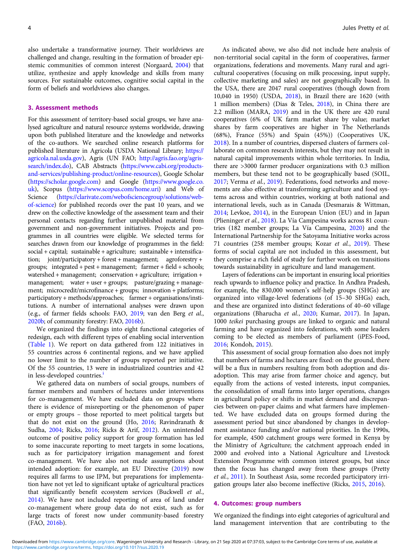also undertake a transformative journey. Their worldviews are challenged and change, resulting in the formation of broader epistemic communities of common interest (Norgaard, [2004](#page-14-0)) that utilize, synthesize and apply knowledge and skills from many sources. For sustainable outcomes, cognitive social capital in the form of beliefs and worldviews also changes.

#### 3. Assessment methods

For this assessment of territory-based social groups, we have analysed agriculture and natural resource systems worldwide, drawing upon both published literature and the knowledge and networks of the co-authors. We searched online research platforms for published literature in Agricola (USDA National Library; [https://](https://agricola.nal.usda.gov) [agricola.nal.usda.gov](https://agricola.nal.usda.gov)), Agris (UN FAO; [http://agris.fao.org/agris](http://agris.fao.org/agris-search/index.do)[search/index.do\)](http://agris.fao.org/agris-search/index.do), CAB Abstracts [\(https://www.cabi.org/products](https://www.cabi.org/products-and-services/publishing-product/online-resources)[and-services/publishing-product/online-resources\)](https://www.cabi.org/products-and-services/publishing-product/online-resources), Google Scholar ([https://scholar.google.com\)](https://scholar.google.com) and Google ([https://www.google.co.](https://www.google.co.uk) [uk](https://www.google.co.uk)), Scopus [\(https://www.scopus.com/home.uri](https://www.scopus.com/home.uri)) and Web of Science [\(https://clarivate.com/webofsciencegroup/solutions/web](https://clarivate.com/webofsciencegroup/solutions/web-of-science)[of-science\)](https://clarivate.com/webofsciencegroup/solutions/web-of-science) for published records over the past 10 years, and we drew on the collective knowledge of the assessment team and their personal contacts regarding further unpublished material from government and non-government initiatives. Projects and programmes in all countries were eligible. We selected terms for searches drawn from our knowledge of programmes in the field:  $social + capital; sustainable + agriculture; sustainable + intensifica$ tion; joint/participatory + forest + management; agroforestry + groups; integrated + pest + management; farmer + field + schools; watershed + management; conservation + agriculture; irrigation + management; water + user + groups; pasture/grazing + management; microcredit/microfinance + groups; innovation + platforms; participatory + methods/approaches; farmer + organisations/institutions. A number of international analyses were drawn upon (e.g., of farmer fields schools: FAO, [2019;](#page-12-0) van den Berg et al., [2020b](#page-15-0); of community forestry: FAO, [2016b\)](#page-12-0).

We organized the findings into eight functional categories of redesign, each with different types of enabling social intervention ([Table 1\)](#page-4-0). We report on data gathered from 122 initiatives in 55 countries across 6 continental regions, and we have applied no lower limit to the number of groups reported per initiative. Of the 55 countries, 13 were in industrialized countries and 42 [i](#page-11-0)n less-developed countries.<sup>1</sup>

We gathered data on numbers of social groups, numbers of farmer members and numbers of hectares under interventions for co-management. We have excluded data on groups where there is evidence of misreporting or the phenomenon of paper or empty groups – those reported to meet political targets but that do not exist on the ground (Ho, [2016](#page-13-0); Ravindranath & Sudha, [2004;](#page-14-0) Ricks, [2016;](#page-14-0) Ricks & Arif, [2012](#page-14-0)). An unintended outcome of positive policy support for group formation has led to some inaccurate reporting to meet targets in some locations, such as for participatory irrigation management and forest co-management. We have also not made assumptions about intended adoption: for example, an EU Directive ([2019\)](#page-12-0) now requires all farms to use IPM, but preparations for implementation have not yet led to significant uptake of agricultural practices that significantly benefit ecosystem services (Buckwell et al., [2014\)](#page-12-0). We have not included reporting of area of land under co-management where group data do not exist, such as for large tracts of forest now under community-based forestry (FAO, [2016b](#page-12-0)).

As indicated above, we also did not include here analysis of non-territorial social capital in the form of cooperatives, farmer organizations, federations and movements. Many rural and agricultural cooperatives (focusing on milk processing, input supply, collective marketing and sales) are not geographically based. In the USA, there are 2047 rural cooperatives (though down from 10,040 in 1950) (USDA, [2018](#page-15-0)), in Brazil there are 1620 (with 1 million members) (Dias & Teles, [2018\)](#page-12-0), in China there are 2.2 million (MARA, [2019\)](#page-14-0) and in the UK there are 420 rural cooperatives (6% of UK farm market share by value; market shares by farm cooperatives are higher in The Netherlands (68%), France (55%) and Spain (45%)) (Cooperatives UK, [2018\)](#page-12-0). In a number of countries, dispersed clusters of farmers collaborate on common research interests, but they may not result in natural capital improvements within whole territories. In India, there are >3000 farmer producer organizations with 0.3 million members, but these tend not to be geographically based (SOIL, [2017;](#page-15-0) Verma et al., [2019](#page-15-0)). Federations, food networks and movements are also effective at transforming agriculture and food systems across and within countries, working at both national and international levels, such as in Canada (Desmarais & Wittman, [2014;](#page-12-0) Levkoe, [2014](#page-13-0)), in the European Union (EU) and in Japan (Plieninger et al., [2018\)](#page-14-0). La Vía Campesina works across 81 countries (182 member groups; La Vía Campesina, [2020\)](#page-13-0) and the International Partnership for the Satoyama Initiative works across 71 countries (258 member groups; Kozar et al., [2019](#page-13-0)). These forms of social capital are not included in this assessment, but they comprise a rich field of study for further work on transitions towards sustainability in agriculture and land management.

Layers of federations can be important in ensuring local priorities reach upwards to influence policy and practice. In Andhra Pradesh, for example, the 830,000 women's self-help groups (SHGs) are organized into village-level federations (of 15–30 SHGs) each, and these are organized into distinct federations of 40–60 village organizations (Bharucha et al., [2020](#page-12-0); Kumar, [2017](#page-13-0)). In Japan, 1000 teikei purchasing groups are linked to organic and natural farming and have organized into federations, with some leaders coming to be elected as members of parliament (iPES-Food, [2016;](#page-13-0) Kondoh, [2015](#page-13-0)).

This assessment of social group formation also does not imply that numbers of farms and hectares are fixed: on the ground, there will be a flux in numbers resulting from both adoption and disadoption. This may arise from farmer choice and agency, but equally from the actions of vested interests, input companies, the consolidation of small farms into larger operations, changes in agricultural policy or shifts in market demand and discrepancies between on-paper claims and what farmers have implemented. We have excluded data on groups formed during the assessment period but since abandoned by changes in development assistance funding and/or national priorities. In the 1990s, for example, 4500 catchment groups were formed in Kenya by the Ministry of Agriculture; the catchment approach ended in 2000 and evolved into a National Agriculture and Livestock Extension Programme with common interest groups, but since then the focus has changed away from these groups (Pretty et al., [2011](#page-14-0)). In Southeast Asia, some recorded participatory irrigation groups later also become ineffective (Ricks, [2015,](#page-14-0) [2016](#page-14-0)).

## 4. Outcomes: group numbers

We organized the findings into eight categories of agricultural and land management intervention that are contributing to the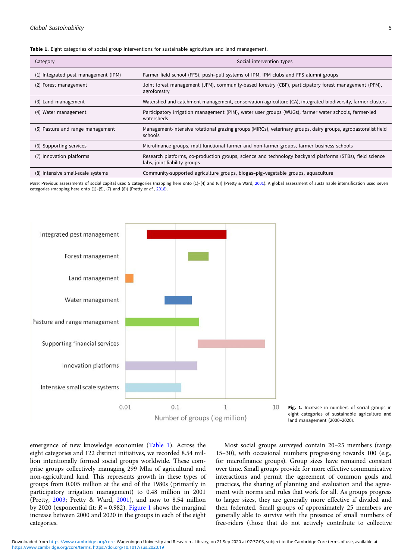<span id="page-4-0"></span>Table 1. Eight categories of social group interventions for sustainable agriculture and land management.

| Category                             | Social intervention types                                                                                                                 |
|--------------------------------------|-------------------------------------------------------------------------------------------------------------------------------------------|
| (1) Integrated pest management (IPM) | Farmer field school (FFS), push-pull systems of IPM, IPM clubs and FFS alumni groups                                                      |
| (2) Forest management                | Joint forest management (JFM), community-based forestry (CBF), participatory forest management (PFM),<br>agroforestry                     |
| (3) Land management                  | Watershed and catchment management, conservation agriculture (CA), integrated biodiversity, farmer clusters                               |
| (4) Water management                 | Participatory irrigation management (PIM), water user groups (WUGs), farmer water schools, farmer-led<br>watersheds                       |
| (5) Pasture and range management     | Management-intensive rotational grazing groups (MIRGs), veterinary groups, dairy groups, agropastoralist field<br>schools                 |
| (6) Supporting services              | Microfinance groups, multifunctional farmer and non-farmer groups, farmer business schools                                                |
| (7) Innovation platforms             | Research platforms, co-production groups, science and technology backyard platforms (STBs), field science<br>labs, joint-liability groups |
| (8) Intensive small-scale systems    | Community-supported agriculture groups, biogas-pig-vegetable groups, aquaculture                                                          |

Note: Previous assessments of social capital used 5 categories (mapping here onto (1)-(4) and (6)) (Pretty & Ward, [2001\)](#page-14-0). A global assessment of sustainable intensification used seven categories (mapping here onto (1)–(5), (7) and (8)) (Pretty et al., [2018\)](#page-14-0).



Fig. 1. Increase in numbers of social groups in eight categories of sustainable agriculture and land management (2000–2020).

emergence of new knowledge economies (Table 1). Across the eight categories and 122 distinct initiatives, we recorded 8.54 million intentionally formed social groups worldwide. These comprise groups collectively managing 299 Mha of agricultural and non-agricultural land. This represents growth in these types of groups from 0.005 million at the end of the 1980s (primarily in participatory irrigation management) to 0.48 million in 2001 (Pretty, [2003;](#page-14-0) Pretty & Ward, [2001\)](#page-14-0), and now to 8.54 million by 2020 (exponential fit:  $R = 0.982$ ). Figure 1 shows the marginal increase between 2000 and 2020 in the groups in each of the eight categories.

Most social groups surveyed contain 20–25 members (range 15–30), with occasional numbers progressing towards 100 (e.g., for microfinance groups). Group sizes have remained constant over time. Small groups provide for more effective communicative interactions and permit the agreement of common goals and practices, the sharing of planning and evaluation and the agreement with norms and rules that work for all. As groups progress to larger sizes, they are generally more effective if divided and then federated. Small groups of approximately 25 members are generally able to survive with the presence of small numbers of free-riders (those that do not actively contribute to collective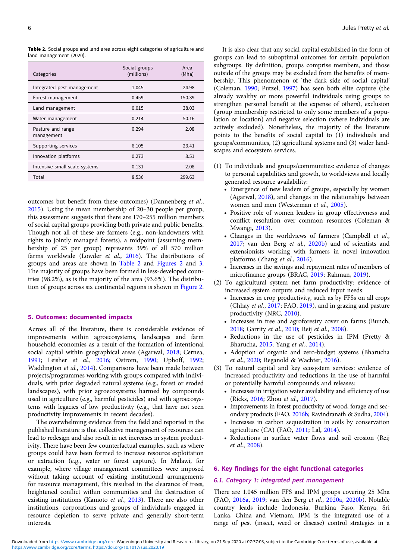Table 2. Social groups and land area across eight categories of agriculture and land management (2020).

| Categories                      | Social groups<br>(millions) | Area<br>(Mha) |
|---------------------------------|-----------------------------|---------------|
| Integrated pest management      | 1.045                       | 24.98         |
| Forest management               | 0.459                       | 150.39        |
| Land management                 | 0.015                       | 38.03         |
| Water management                | 0.214                       | 50.16         |
| Pasture and range<br>management | 0.294                       | 2.08          |
| Supporting services             | 6.105                       | 23.41         |
| Innovation platforms            | 0.273                       | 8.51          |
| Intensive small-scale systems   | 0.131                       | 2.08          |
| Total                           | 8.536                       | 299.63        |

outcomes but benefit from these outcomes) (Dannenberg et al., [2015\)](#page-12-0). Using the mean membership of 20–30 people per group, this assessment suggests that there are 170–255 million members of social capital groups providing both private and public benefits. Though not all of these are farmers (e.g., non-landowners with rights to jointly managed forests), a midpoint (assuming membership of 25 per group) represents 39% of all 570 million farms worldwide (Lowder et al., [2016\)](#page-13-0). The distributions of groups and areas are shown in Table 2 and [Figures 2](#page-6-0) and [3](#page-6-0). The majority of groups have been formed in less-developed countries (98.2%), as is the majority of the area (93.6%). The distribution of groups across six continental regions is shown in [Figure 2](#page-6-0).

## 5. Outcomes: documented impacts

Across all of the literature, there is considerable evidence of improvements within agroecosystems, landscapes and farm household economies as a result of the formation of intentional social capital within geographical areas (Agarwal, [2018](#page-11-0); Cernea, [1991;](#page-12-0) Leisher et al., [2016;](#page-13-0) Ostrom, [1990;](#page-14-0) Uphoff, [1992](#page-15-0); Waddington et al., [2014](#page-15-0)). Comparisons have been made between projects/programmes working with groups compared with individuals, with prior degraded natural systems (e.g., forest or eroded landscapes), with prior agroecosystems harmed by compounds used in agriculture (e.g., harmful pesticides) and with agroecosystems with legacies of low productivity (e.g., that have not seen productivity improvements in recent decades).

The overwhelming evidence from the field and reported in the published literature is that collective management of resources can lead to redesign and also result in net increases in system productivity. There have been few counterfactual examples, such as where groups could have been formed to increase resource exploitation or extraction (e.g., water or forest capture). In Malawi, for example, where village management committees were imposed without taking account of existing institutional arrangements for resource management, this resulted in the clearance of trees, heightened conflict within communities and the destruction of existing institutions (Kamoto et al., [2013](#page-13-0)). There are also other institutions, corporations and groups of individuals engaged in resource depletion to serve private and generally short-term interests.

It is also clear that any social capital established in the form of groups can lead to suboptimal outcomes for certain population subgroups. By definition, groups comprise members, and those outside of the groups may be excluded from the benefits of membership. This phenomenon of 'the dark side of social capital' (Coleman, [1990](#page-12-0); Putzel, [1997](#page-14-0)) has seen both elite capture (the already wealthy or more powerful individuals using groups to strengthen personal benefit at the expense of others), exclusion (group membership restricted to only some members of a population or location) and negative selection (where individuals are actively excluded). Nonetheless, the majority of the literature points to the benefits of social capital to (1) individuals and groups/communities, (2) agricultural systems and (3) wider landscapes and ecosystem services.

- (1) To individuals and groups/communities: evidence of changes to personal capabilities and growth, to worldviews and locally generated resource availability:
	- Emergence of new leaders of groups, especially by women (Agarwal, [2018\)](#page-11-0), and changes in the relationships between women and men (Westerman et al., [2005](#page-15-0)).
	- Positive role of women leaders in group effectiveness and conflict resolution over common resources (Coleman & Mwangi, [2013\)](#page-12-0).
	- Changes in the worldviews of farmers (Campbell et al., [2017;](#page-12-0) van den Berg et al., [2020b\)](#page-15-0) and of scientists and extensionists working with farmers in novel innovation platforms (Zhang et al., [2016](#page-15-0)).
	- Increases in the savings and repayment rates of members of microfinance groups (BRAC, [2019;](#page-12-0) Rahman, [2019\)](#page-14-0).
- (2) To agricultural system net farm productivity: evidence of increased system outputs and reduced input needs:
	- Increases in crop productivity, such as by FFSs on all crops (Chhay et al., [2017;](#page-12-0) FAO, [2019](#page-12-0)), and in grazing and pasture productivity (NRC, [2010\)](#page-14-0).
	- Increases in tree and agroforestry cover on farms (Bunch, [2018;](#page-12-0) Garrity et al., [2010;](#page-13-0) Reij et al., [2008](#page-14-0)).
	- Reductions in the use of pesticides in IPM (Pretty & Bharucha, [2015](#page-14-0); Yang et al., [2014](#page-15-0)).
	- Adoption of organic and zero-budget systems (Bharucha et al., [2020;](#page-12-0) Reganold & Wachter, [2016](#page-14-0)).
- (3) To natural capital and key ecosystem services: evidence of increased productivity and reductions in the use of harmful or potentially harmful compounds and releases:
	- Increases in irrigation water availability and efficiency of use (Ricks, [2016;](#page-14-0) Zhou et al., [2017\)](#page-15-0).
	- Improvements in forest productivity of wood, forage and secondary products (FAO, [2016b;](#page-12-0) Ravindranath & Sudha, [2004\)](#page-14-0).
	- Increases in carbon sequestration in soils by conservation agriculture (CA) (FAO, [2011](#page-12-0); Lal, [2014\)](#page-13-0).
	- Reductions in surface water flows and soil erosion (Reij et al., [2008\)](#page-14-0).

## 6. Key findings for the eight functional categories

## 6.1. Category 1: integrated pest management

There are 1.045 million FFS and IPM groups covering 25 Mha (FAO, [2016a,](#page-12-0) [2019](#page-12-0); van den Berg et al., [2020a](#page-15-0), [2020b\)](#page-15-0). Notable country leads include Indonesia, Burkina Faso, Kenya, Sri Lanka, China and Vietnam. IPM is the integrated use of a range of pest (insect, weed or disease) control strategies in a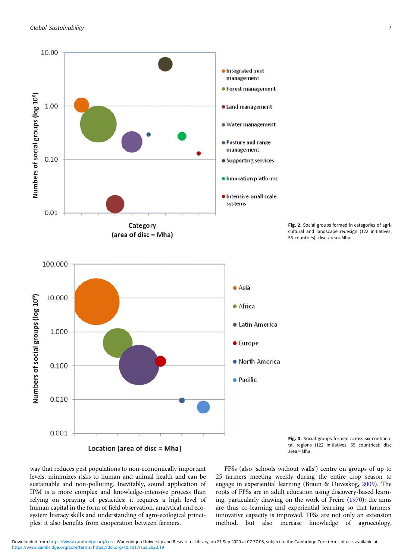<span id="page-6-0"></span>

way that reduces pest populations to non-economically important levels, minimizes risks to human and animal health and can be sustainable and non-polluting. Inevitably, sound application of IPM is a more complex and knowledge-intensive process than relying on spraying of pesticides: it requires a high level of human capital in the form of field observation, analytical and ecosystem literacy skills and understanding of agro-ecological principles; it also benefits from cooperation between farmers.

FFSs (also 'schools without walls') centre on groups of up to 25 farmers meeting weekly during the entire crop season to engage in experiential learning (Braun & Duveskog, [2009\)](#page-12-0). The roots of FFSs are in adult education using discovery-based learning, particularly drawing on the work of Freire [\(1970\)](#page-13-0): the aims are thus co-learning and experiential learning so that farmers' innovative capacity is improved. FFSs are not only an extension method, but also increase knowledge of agroecology,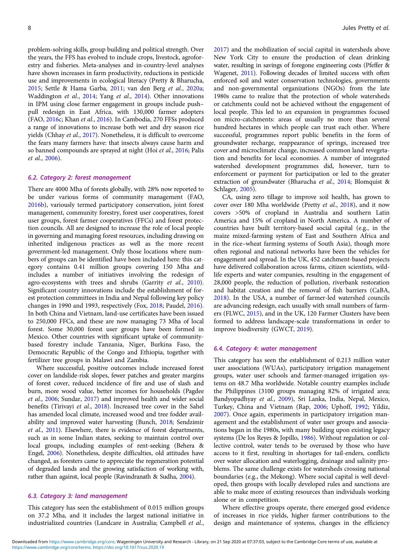problem-solving skills, group building and political strength. Over the years, the FFS has evolved to include crops, livestock, agroforestry and fisheries. Meta-analyses and in-country-level analyses have shown increases in farm productivity, reductions in pesticide use and improvements in ecological literacy (Pretty & Bharucha, [2015;](#page-14-0) Settle & Hama Garba, [2011;](#page-14-0) van den Berg et al., [2020a](#page-15-0); Waddington et al., [2014](#page-15-0); Yang et al., [2014](#page-15-0)). Other innovations in IPM using close farmer engagement in groups include push– pull redesign in East Africa, with 130,000 farmer adopters (FAO, [2016c](#page-12-0); Khan et al., [2016](#page-13-0)). In Cambodia, 270 FFSs produced a range of innovations to increase both wet and dry season rice yields (Chhay et al., [2017](#page-12-0)). Nonetheless, it is difficult to overcome the fears many farmers have: that insects always cause harm and so banned compounds are sprayed at night (Hoi et al., [2016;](#page-13-0) Palis et al., [2006](#page-14-0)).

## 6.2. Category 2: forest management

There are 4000 Mha of forests globally, with 28% now reported to be under various forms of community management (FAO, [2016b\)](#page-12-0), variously termed participatory conservation, joint forest management, community forestry, forest user cooperatives, forest user groups, forest farmer cooperatives (FFCs) and forest protection councils. All are designed to increase the role of local people in governing and managing forest resources, including drawing on inherited indigenous practices as well as the more recent government-led management. Only those locations where numbers of groups can be identified have been included here: this category contains 0.41 million groups covering 150 Mha and includes a number of initiatives involving the redesign of agro-ecosystems with trees and shrubs (Garrity et al., [2010\)](#page-13-0). Significant country innovations include the establishment of forest protection committees in India and Nepal following key policy changes in 1990 and 1993, respectively (Fox, [2018](#page-13-0); Paudel, [2016\)](#page-14-0). In both China and Vietnam, land-use certificates have been issued to 250,000 FFCs, and these are now managing 73 Mha of local forest. Some 30,000 forest user groups have been formed in Mexico. Other countries with significant uptake of communitybased forestry include Tanzania, Niger, Burkina Faso, the Democratic Republic of the Congo and Ethiopia, together with fertilizer tree groups in Malawi and Zambia.

Where successful, positive outcomes include increased forest cover on landslide-risk slopes, fewer patches and greater margins of forest cover, reduced incidence of fire and use of slash and burn, more wood value, better incomes for households (Pagdee et al., [2006;](#page-14-0) Sundar, [2017](#page-15-0)) and improved health and wider social benefits (Tirivayi et al., [2018](#page-15-0)). Increased tree cover in the Sahel has amended local climate, increased wood and tree fodder availability and improved water harvesting (Bunch, [2018;](#page-12-0) Sendzimir et al., [2011](#page-14-0)). Elsewhere, there is evidence of forest departments, such as in some Indian states, seeking to maintain control over local groups, including examples of rent-seeking (Behera & Engel, [2006\)](#page-11-0). Nonetheless, despite difficulties, old attitudes have changed, as foresters came to appreciate the regeneration potential of degraded lands and the growing satisfaction of working with, rather than against, local people (Ravindranath & Sudha, [2004](#page-14-0)).

#### 6.3. Category 3: land management

This category has seen the establishment of 0.015 million groups on 37.2 Mha, and it includes the largest national initiative in industrialized countries (Landcare in Australia; Campbell et al., [2017\)](#page-12-0) and the mobilization of social capital in watersheds above New York City to ensure the production of clean drinking water, resulting in savings of foregone engineering costs (Pfeffer & Wagenet, [2011](#page-14-0)). Following decades of limited success with often enforced soil and water conservation technologies, governments and non-governmental organizations (NGOs) from the late 1980s came to realize that the protection of whole watersheds or catchments could not be achieved without the engagement of local people. This led to an expansion in programmes focused on micro-catchments: areas of usually no more than several hundred hectares in which people can trust each other. Where successful, programmes report public benefits in the form of groundwater recharge, reappearance of springs, increased tree cover and microclimate change, increased common land revegetation and benefits for local economies. A number of integrated watershed development programmes did, however, turn to enforcement or payment for participation or led to the greater extraction of groundwater (Bharucha et al., [2014;](#page-12-0) Blomquist & Schlager, [2005\)](#page-12-0).

CA, using zero tillage to improve soil health, has grown to cover over 180 Mha worldwide (Pretty et al., [2018\)](#page-14-0), and it now covers >50% of cropland in Australia and southern Latin America and 15% of cropland in North America. A number of countries have built territory-based social capital (e.g., in the maize mixed-farming system of East and Southern Africa and in the rice–wheat farming systems of South Asia), though more often regional and national networks have been the vehicles for engagement and spread. In the UK, 452 catchment-based projects have delivered collaboration across farms, citizen scientists, wildlife experts and water companies, resulting in the engagement of 28,000 people, the reduction of pollution, riverbank restoration and habitat creation and the removal of fish barriers (CaBA, [2018\)](#page-12-0). In the USA, a number of farmer-led watershed councils are advancing redesign, each usually with small numbers of farmers (FLWC, [2015](#page-12-0)), and in the UK, 120 Farmer Clusters have been formed to address landscape-scale transformations in order to improve biodiversity (GWCT, [2019](#page-13-0)).

#### 6.4. Category 4: water management

This category has seen the establishment of 0.213 million water user associations (WUAs), participatory irrigation management groups, water user schools and farmer-managed irrigation systems on 48.7 Mha worldwide. Notable country examples include the Philippines (3100 groups managing 82% of irrigated area; Bandyopadhyay et al., [2009\)](#page-11-0), Sri Lanka, India, Nepal, Mexico, Turkey, China and Vietnam (Rap, [2006](#page-14-0); Uphoff, [1992;](#page-15-0) Yildiz, [2007\)](#page-15-0). Once again, experiments in participatory irrigation management and the establishment of water user groups and associations began in the 1980s, with many building upon existing legacy systems (De los Reyes & Jopillo, [1986\)](#page-12-0). Without regulation or collective control, water tends to be overused by those who have access to it first, resulting in shortages for tail-enders, conflicts over water allocation and waterlogging, drainage and salinity problems. The same challenge exists for watersheds crossing national boundaries (e.g., the Mekong). Where social capital is well developed, then groups with locally developed rules and sanctions are able to make more of existing resources than individuals working alone or in competition.

Where effective groups operate, there emerged good evidence of increases in rice yields, higher farmer contributions to the design and maintenance of systems, changes in the efficiency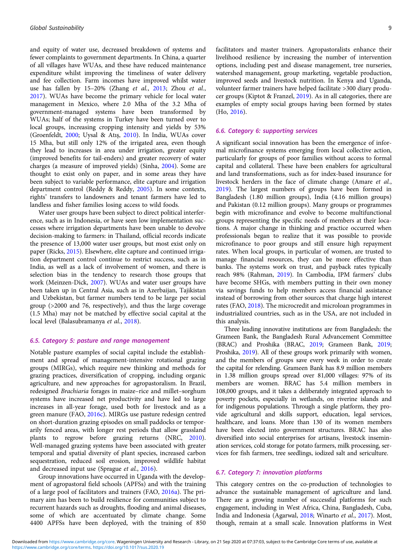and equity of water use, decreased breakdown of systems and fewer complaints to government departments. In China, a quarter of all villages have WUAs, and these have reduced maintenance expenditure whilst improving the timeliness of water delivery and fee collection. Farm incomes have improved whilst water use has fallen by 15–20% (Zhang et al., [2013](#page-15-0); Zhou et al., [2017\)](#page-15-0). WUAs have become the primary vehicle for local water management in Mexico, where 2.0 Mha of the 3.2 Mha of government-managed systems have been transformed by WUAs; half of the systems in Turkey have been turned over to local groups, increasing cropping intensity and yields by 53% (Groenfeldt, [2000](#page-13-0); Uysal & Atış, [2010](#page-15-0)). In India, WUAs cover 15 Mha, but still only 12% of the irrigated area, even though they lead to increases in area under irrigation, greater equity (improved benefits for tail-enders) and greater recovery of water charges (a measure of improved yields) (Sinha, [2004](#page-15-0)). Some are thought to exist only on paper, and in some areas they have been subject to variable performance, elite capture and irrigation department control (Reddy & Reddy, [2005](#page-14-0)). In some contexts, rights' transfers to landowners and tenant farmers have led to landless and fisher families losing access to wild foods.

Water user groups have been subject to direct political interference, such as in Indonesia, or have seen low implementation successes where irrigation departments have been unable to devolve decision-making to farmers: in Thailand, official records indicate the presence of 13,000 water user groups, but most exist only on paper (Ricks, [2015\)](#page-14-0). Elsewhere, elite capture and continued irrigation department control continue to restrict success, such as in India, as well as a lack of involvement of women, and there is selection bias in the tendency to research those groups that work (Meinzen-Dick, [2007\)](#page-14-0). WUAs and water user groups have been taken up in Central Asia, such as in Azerbaijan, Tajikistan and Uzbekistan, but farmer numbers tend to be large per social group (>2000 and 76, respectively), and thus the large coverage (1.5 Mha) may not be matched by effective social capital at the local level (Balasubramanya et al., [2018](#page-11-0)).

## 6.5. Category 5: pasture and range management

Notable pasture examples of social capital include the establishment and spread of management-intensive rotational grazing groups (MIRGs), which require new thinking and methods for grazing practices, diversification of cropping, including organic agriculture, and new approaches for agropastoralism. In Brazil, redesigned Brachiaria forages in maize–rice and millet–sorghum systems have increased net productivity and have led to large increases in all-year forage, used both for livestock and as a green manure (FAO, [2016c\)](#page-12-0). MIRGs use pasture redesign centred on short-duration grazing episodes on small paddocks or temporarily fenced areas, with longer rest periods that allow grassland plants to regrow before grazing returns (NRC, [2010\)](#page-14-0). Well-managed grazing systems have been associated with greater temporal and spatial diversity of plant species, increased carbon sequestration, reduced soil erosion, improved wildlife habitat and decreased input use (Sprague et al., [2016\)](#page-15-0).

Group innovations have occurred in Uganda with the development of agropastoral field schools (APFSs) and with the training of a large pool of facilitators and trainers (FAO, [2016a\)](#page-12-0). The primary aim has been to build resilience for communities subject to recurrent hazards such as droughts, flooding and animal diseases, some of which are accentuated by climate change. Some 4400 APFSs have been deployed, with the training of 850

facilitators and master trainers. Agropastoralists enhance their livelihood resilience by increasing the number of intervention options, including pest and disease management, tree nurseries, watershed management, group marketing, vegetable production, improved seeds and livestock nutrition. In Kenya and Uganda, volunteer farmer trainers have helped facilitate >300 diary producer groups (Kiptot & Franzel, [2019\)](#page-13-0). As in all categories, there are examples of empty social groups having been formed by states (Ho, [2016\)](#page-13-0).

## 6.6. Category 6: supporting services

A significant social innovation has been the emergence of informal microfinance systems emerging from local collective action, particularly for groups of poor families without access to formal capital and collateral. These have been enablers for agricultural and land transformations, such as for index-based insurance for livestock herders in the face of climate change (Amare et al., [2019](#page-11-0)). The largest numbers of groups have been formed in Bangladesh (1.80 million groups), India (4.16 million groups) and Pakistan (0.12 million groups). Many groups or programmes begin with microfinance and evolve to become multifunctional groups representing the specific needs of members at their locations. A major change in thinking and practice occurred when professionals began to realize that it was possible to provide microfinance to poor groups and still ensure high repayment rates. When local groups, in particular of women, are trusted to manage financial resources, they can be more effective than banks. The systems work on trust, and payback rates typically reach 98% (Rahman, [2019](#page-14-0)). In Cambodia, IPM farmers' clubs have become SHGs, with members putting in their own money via savings funds to help members access financial assistance instead of borrowing from other sources that charge high interest rates (FAO, [2018\)](#page-12-0). The microcredit and microloan programmes in industrialized countries, such as in the USA, are not included in this analysis.

Three leading innovative institutions are from Bangladesh: the Grameen Bank, the Bangladesh Rural Advancement Committee (BRAC) and Proshika (BRAC, [2019;](#page-12-0) Grameen Bank, [2019](#page-13-0); Proshika, [2019\)](#page-14-0). All of these groups work primarily with women, and the members of groups save every week in order to create the capital for relending. Grameen Bank has 8.9 million members in 1.38 million groups spread over 81,000 villages: 97% of its members are women. BRAC has 5.4 million members in 108,000 groups, and it takes a deliberately integrated approach to poverty pockets, especially in wetlands, on riverine islands and for indigenous populations. Through a single platform, they provide agricultural and skills support, education, legal services, healthcare, and loans. More than 130 of its women members have been elected into government structures. BRAC has also diversified into social enterprises for artisans, livestock insemination services, cold storage for potato farmers, milk processing, services for fish farmers, tree seedlings, iodized salt and sericulture.

## 6.7. Category 7: innovation platforms

This category centres on the co-production of technologies to advance the sustainable management of agriculture and land. There are a growing number of successful platforms for such engagement, including in West Africa, China, Bangladesh, Cuba, India and Indonesia (Agarwal, [2018;](#page-11-0) Winarto et al., [2017\)](#page-15-0). Most, though, remain at a small scale. Innovation platforms in West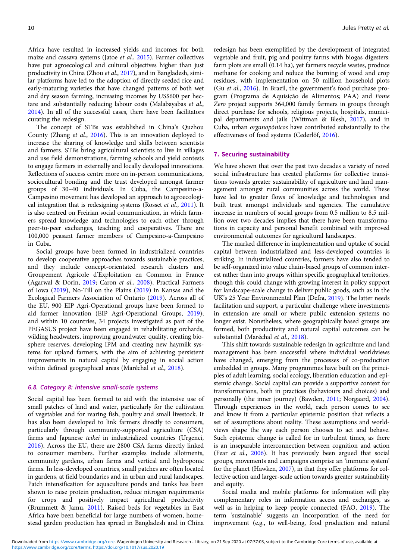Africa have resulted in increased yields and incomes for both maize and cassava systems (Jatoe et al., [2015](#page-13-0)). Farmer collectives have put agroecological and cultural objectives higher than just productivity in China (Zhou et al., [2017\)](#page-15-0), and in Bangladesh, similar platforms have led to the adoption of directly seeded rice and early-maturing varieties that have changed patterns of both wet and dry season farming, increasing incomes by US\$600 per hectare and substantially reducing labour costs (Malabayabas et al., [2014\)](#page-13-0). In all of the successful cases, there have been facilitators curating the redesign.

The concept of STBs was established in China's Quzhou County (Zhang et al., [2016\)](#page-15-0). This is an innovation deployed to increase the sharing of knowledge and skills between scientists and farmers. STBs bring agricultural scientists to live in villages and use field demonstrations, farming schools and yield contests to engage farmers in externally and locally developed innovations. Reflections of success centre more on in-person communications, sociocultural bonding and the trust developed amongst farmer groups of 30–40 individuals. In Cuba, the Campesino-a-Campesino movement has developed an approach to agroecologi-cal integration that is redesigning systems (Rosset et al., [2011\)](#page-14-0). It is also centred on Freirian social communication, in which farmers spread knowledge and technologies to each other through peer-to-peer exchanges, teaching and cooperatives. There are 100,000 peasant farmer members of Campesino-a-Campesino in Cuba.

Social groups have been formed in industrialized countries to develop cooperative approaches towards sustainable practices, and they include concept-orientated research clusters and Groupement Agricole d'Exploitation en Common in France (Agarwal & Dorin, [2019;](#page-11-0) Caron et al., [2008\)](#page-12-0), Practical Farmers of Iowa ([2019\)](#page-14-0), No-Till on the Plains [\(2019](#page-14-0)) in Kansas and the Ecological Farmers Association of Ontario [\(2019\)](#page-12-0). Across all of the EU, 900 EIP Agri-Operational groups have been formed to aid farmer innovation (EIP Agri-Operational Groups, [2019\)](#page-12-0); and within 10 countries, 34 projects investigated as part of the PEGASUS project have been engaged in rehabilitating orchards, wilding headwaters, improving groundwater quality, creating biosphere reserves, developing IPM and creating new haymilk systems for upland farmers, with the aim of achieving persistent improvements in natural capital by engaging in social action within defined geographical areas (Maréchal et al., [2018](#page-14-0)).

## 6.8. Category 8: intensive small-scale systems

Social capital has been formed to aid with the intensive use of small patches of land and water, particularly for the cultivation of vegetables and for rearing fish, poultry and small livestock. It has also been developed to link farmers directly to consumers, particularly through community-supported agriculture (CSA) farms and Japanese teikei in industrialized countries (Urgenci, [2016\)](#page-15-0). Across the EU, there are 2800 CSA farms directly linked to consumer members. Further examples include allotments, community gardens, urban farms and vertical and hydroponic farms. In less-developed countries, small patches are often located in gardens, at field boundaries and in urban and rural landscapes. Patch intensification for aquaculture ponds and tanks has been shown to raise protein production, reduce nitrogen requirements for crops and positively impact agricultural productivity (Brummett & Jamu, [2011\)](#page-12-0). Raised beds for vegetables in East Africa have been beneficial for large numbers of women, homestead garden production has spread in Bangladesh and in China redesign has been exemplified by the development of integrated vegetable and fruit, pig and poultry farms with biogas digesters: farm plots are small (0.14 ha), yet farmers recycle wastes, produce methane for cooking and reduce the burning of wood and crop residues, with implementation on 50 million household plots (Gu et al., [2016\)](#page-13-0). In Brazil, the government's food purchase program (Programa de Aquisição de Alimentos; PAA) and Fome Zero project supports 364,000 family farmers in groups through direct purchase for schools, religious projects, hospitals, municipal departments and jails (Wittman & Blesh, [2017\)](#page-15-0), and in Cuba, urban organopónicos have contributed substantially to the effectiveness of food systems (Cederlöf, [2016\)](#page-12-0).

## 7. Securing sustainability

We have shown that over the past two decades a variety of novel social infrastructure has created platforms for collective transitions towards greater sustainability of agriculture and land management amongst rural communities across the world. These have led to greater flows of knowledge and technologies and built trust amongst individuals and agencies. The cumulative increase in numbers of social groups from 0.5 million to 8.5 million over two decades implies that there have been transformations in capacity and personal benefit combined with improved environmental outcomes for agricultural landscapes.

The marked difference in implementation and uptake of social capital between industrialized and less-developed countries is striking. In industrialized countries, farmers have also tended to be self-organized into value chain-based groups of common interest rather than into groups within specific geographical territories, though this could change with growing interest in policy support for landscape-scale change to deliver public goods, such as in the UK's 25 Year Environmental Plan (Defra, [2019](#page-12-0)). The latter needs facilitation and support, a particular challenge where investments in extension are small or where public extension systems no longer exist. Nonetheless, where geographically based groups are formed, both productivity and natural capital outcomes can be substantial (Maréchal et al., [2018](#page-14-0)).

This shift towards sustainable redesign in agriculture and land management has been successful where individual worldviews have changed, emerging from the processes of co-production embedded in groups. Many programmes have built on the principles of adult learning, social ecology, liberation education and epistemic change. Social capital can provide a supportive context for transformations, both in practices (behaviours and choices) and personally (the inner journey) (Bawden, [2011](#page-11-0); Norgaard, [2004](#page-14-0)). Through experiences in the world, each person comes to see and know it from a particular epistemic position that reflects a set of assumptions about reality. These assumptions and worldviews shape the way each person chooses to act and behave. Such epistemic change is called for in turbulent times, as there is an inseparable interconnection between cognition and action (Fear et al., [2006](#page-12-0)). It has previously been argued that social groups, movements and campaigns comprise an 'immune system' for the planet (Hawken, [2007\)](#page-13-0), in that they offer platforms for collective action and larger-scale action towards greater sustainability and equity.

Social media and mobile platforms for information will play complementary roles in information access and exchanges, as well as in helping to keep people connected (FAO, [2019](#page-12-0)). The term 'sustainable' suggests an incorporation of the need for improvement (e.g., to well-being, food production and natural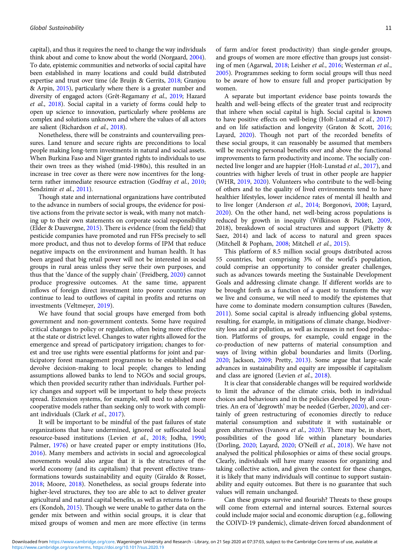capital), and thus it requires the need to change the way individuals think about and come to know about the world (Norgaard, [2004\)](#page-14-0). To date, epistemic communities and networks of social capital have been established in many locations and could build distributed expertise and trust over time (de Bruijn & Gerrits, [2018;](#page-12-0) Granjou & Arpin, [2015\)](#page-13-0), particularly where there is a greater number and diversity of engaged actors (Grêt-Regamany et al., [2019](#page-13-0); Hazard et al., [2018\)](#page-13-0). Social capital in a variety of forms could help to open up science to innovation, particularly where problems are complex and solutions unknown and where the values of all actors are salient (Richardson et al., [2018\)](#page-14-0).

Nonetheless, there will be constraints and countervailing pressures. Land tenure and secure rights are preconditions to local people making long-term investments in natural and social assets. When Burkina Faso and Niger granted rights to individuals to use their own trees as they wished (mid-1980s), this resulted in an increase in tree cover as there were now incentives for the longterm rather immediate resource extraction (Godfray et al., [2010;](#page-13-0) Sendzimir et al., [2011\)](#page-14-0).

Though state and international organizations have contributed to the advance in numbers of social groups, the evidence for positive actions from the private sector is weak, with many not matching up to their own statements on corporate social responsibility (Elder & Dauvergne, [2015\)](#page-12-0). There is evidence (from the field) that pesticide companies have promoted and run FFSs precisely to sell more product, and thus not to develop forms of IPM that reduce negative impacts on the environment and human health. It has been argued that big retail power will not be interested in social groups in rural areas unless they serve their own purposes, and thus that the 'dance of the supply chain' (Freidberg, [2020](#page-13-0)) cannot produce progressive outcomes. At the same time, apparent inflows of foreign direct investment into poorer countries may continue to lead to outflows of capital in profits and returns on investments (Veltmeyer, [2019](#page-15-0)).

We have found that social groups have emerged from both government and non-government contexts. Some have required critical changes to policy or regulation, often being more effective at the state or district level. Changes to water rights allowed for the emergence and spread of participatory irrigation; changes to forest and tree use rights were essential platforms for joint and participatory forest management programmes to be established and devolve decision-making to local people; changes to lending assumptions allowed banks to lend to NGOs and social groups, which then provided security rather than individuals. Further policy changes and support will be important to help these projects spread. Extension systems, for example, will need to adopt more cooperative models rather than seeking only to work with compliant individuals (Clark et al., [2017](#page-12-0)).

It will be important to be mindful of the past failures of state organizations that have undermined, ignored or suffocated local resource-based institutions (Levien et al., [2018](#page-13-0); Jodha, [1990;](#page-13-0) Palmer, [1976](#page-14-0)) or have created paper or empty institutions (Ho, [2016\)](#page-13-0). Many members and activists in social and agroecological movements would also argue that it is the structures of the world economy (and its capitalism) that prevent effective transformations towards sustainability and equity (Giraldo & Rosset, [2018;](#page-13-0) Moore, [2018\)](#page-14-0). Nonetheless, as social groups federate into higher-level structures, they too are able to act to deliver greater agricultural and natural capital benefits, as well as returns to farmers (Kondoh, [2015\)](#page-13-0). Though we were unable to gather data on the gender mix between and within social groups, it is clear that mixed groups of women and men are more effective (in terms

of farm and/or forest productivity) than single-gender groups, and groups of women are more effective than groups just consisting of men (Agarwal, [2018](#page-11-0); Leisher et al., [2016](#page-13-0); Westerman et al., [2005](#page-15-0)). Programmes seeking to form social groups will thus need to be aware of how to ensure full and proper participation by women.

A separate but important evidence base points towards the health and well-being effects of the greater trust and reciprocity that inhere when social capital is high. Social capital is known to have positive effects on well-being (Holt-Lunstad et al., [2017](#page-13-0)) and on life satisfaction and longevity (Graton & Scott, [2016](#page-13-0); Layard, [2020\)](#page-13-0). Though not part of the recorded benefits of these social groups, it can reasonably be assumed that members will be receiving personal benefits over and above the functional improvements to farm productivity and income. The socially connected live longer and are happier (Holt-Lunstad et al., [2017\)](#page-13-0), and countries with higher levels of trust in other people are happier (WHR, [2019,](#page-15-0) [2020\)](#page-15-0). Volunteers who contribute to the well-being of others and to the quality of lived environments tend to have healthier lifestyles, lower incidence rates of mental ill health and to live longer (Anderson et al., [2014;](#page-11-0) Borgonovi, [2008;](#page-12-0) Layard, [2020](#page-13-0)). On the other hand, net well-being across populations is reduced by growth in inequity (Wilkinson & Pickett, [2009](#page-15-0), 2018), breakdown of social structures and support (Piketty & Saez, 2014) and lack of access to natural and green spaces (Mitchell & Popham, [2008](#page-14-0); Mitchell et al., [2015\)](#page-14-0).

This platform of 8.5 million social groups distributed across 55 countries, but comprising 3% of the world's population, could comprise an opportunity to consider greater challenges, such as advances towards meeting the Sustainable Development Goals and addressing climate change. If different worlds are to be brought forth as a function of a quest to transform the way we live and consume, we will need to modify the epistemes that have come to dominate modern consumption cultures (Bawden, [2011](#page-11-0)). Some social capital is already influencing global systems, resulting, for example, in mitigations of climate change, biodiversity loss and air pollution, as well as increases in net food production. Platforms of groups, for example, could engage in the co-production of new patterns of material consumption and ways of living within global boundaries and limits (Dorling, [2020](#page-12-0); Jackson, [2009](#page-13-0); Pretty, [2013](#page-14-0)). Some argue that large-scale advances in sustainability and equity are impossible if capitalism and class are ignored (Levien et al., [2018\)](#page-13-0).

It is clear that considerable changes will be required worldwide to limit the advance of the climate crisis, both in individual choices and behaviours and in the policies developed by all countries. An era of 'degrowth' may be needed (Gerber, [2020\)](#page-13-0), and certainly of green restructuring of economies directly to reduce material consumption and substitute it with sustainable or green alternatives (Ivanova et al., [2020](#page-13-0)). There may be, in short, possibilities of the good life within planetary boundaries (Dorling, [2020;](#page-12-0) Layard, [2020;](#page-13-0) O'Neill et al., [2018](#page-14-0)). We have not analysed the political philosophies or aims of these social groups. Clearly, individuals will have many reasons for organizing and taking collective action, and given the context for these changes, it is likely that many individuals will continue to support sustainability and equity outcomes. But there is no guarantee that such values will remain unchanged.

Can these groups survive and flourish? Threats to these groups will come from external and internal sources. External sources could include major social and economic disruption (e.g., following the COIVD-19 pandemic), climate-driven forced abandonment of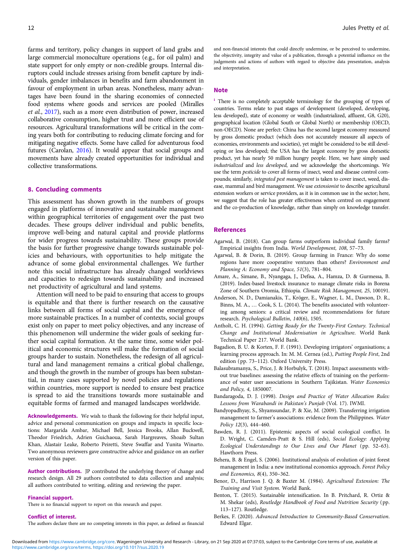<span id="page-11-0"></span>farms and territory, policy changes in support of land grabs and large commercial monoculture operations (e.g., for oil palm) and state support for only empty or non-credible groups. Internal disruptors could include stresses arising from benefit capture by individuals, gender imbalances in benefits and farm abandonment in favour of employment in urban areas. Nonetheless, many advantages have been found in the sharing economies of connected food systems where goods and services are pooled (Miralles et al., [2017](#page-14-0)), such as a more even distribution of power, increased collaborative consumption, higher trust and more efficient use of resources. Agricultural transformations will be critical in the coming years both for contributing to reducing climate forcing and for mitigating negative effects. Some have called for adventurous food futures (Carolan, [2016](#page-12-0)). It would appear that social groups and movements have already created opportunities for individual and collective transformations.

#### 8. Concluding comments

This assessment has shown growth in the numbers of groups engaged in platforms of innovative and sustainable management within geographical territories of engagement over the past two decades. These groups deliver individual and public benefits, improve well-being and natural capital and provide platforms for wider progress towards sustainability. These groups provide the basis for further progressive change towards sustainable policies and behaviours, with opportunities to help mitigate the advance of some global environmental challenges. We further note this social infrastructure has already changed worldviews and capacities to redesign towards sustainability and increased net productivity of agricultural and land systems.

Attention will need to be paid to ensuring that access to groups is equitable and that there is further research on the causative links between all forms of social capital and the emergence of more sustainable practices. In a number of contexts, social groups exist only on paper to meet policy objectives, and any increase of this phenomenon will undermine the wider goals of seeking further social capital formation. At the same time, some wider political and economic structures will make the formation of social groups harder to sustain. Nonetheless, the redesign of all agricultural and land management remains a critical global challenge, and though the growth in the number of groups has been substantial, in many cases supported by novel policies and regulations within countries, more support is needed to ensure best practice is spread to aid the transitions towards more sustainable and equitable forms of farmed and managed landscapes worldwide.

Acknowledgements. We wish to thank the following for their helpful input, advice and personal communication on groups and impacts in specific locations: Margarida Ambar, Michael Bell, Jessica Brooks, Allan Buckwell, Theodor Friedrich, Adrien Guichaoua, Sarah Hargreaves, Shoaib Sultan Khan, Alastair Leake, Roberto Peiretti, Steve Swaffar and Yunita Winarto. Two anonymous reviewers gave constructive advice and guidance on an earlier version of this paper.

Author contributions. JP contributed the underlying theory of change and research design. All 29 authors contributed to data collection and analysis; all authors contributed to writing, editing and reviewing the paper.

#### Financial support.

There is no financial support to report on this research and paper.

#### Conflict of interest.

The authors declare there are no competing interests in this paper, as defined as financial

and non-financial interests that could directly undermine, or be perceived to undermine, the objectivity, integrity and value of a publication, through a potential influence on the judgements and actions of authors with regard to objective data presentation, analysis and interpretation.

#### **Note**

<sup>i</sup> There is no completely acceptable terminology for the grouping of types of countries. Terms relate to past stages of development (developed, developing, less developed), state of economy or wealth (industrialized, affluent, G8, G20), geographical location (Global South or Global North) or membership (OECD, non-OECD). None are perfect: China has the second largest economy measured by gross domestic product (which does not accurately measure all aspects of economies, environments and societies), yet might be considered to be still developing or less developed; the USA has the largest economy by gross domestic product, yet has nearly 50 million hungry people. Here, we have simply used industrialized and less developed, and we acknowledge the shortcomings. We use the term pesticide to cover all forms of insect, weed and disease control compounds; similarly, integrated pest management is taken to cover insect, weed, disease, mammal and bird management. We use extensionist to describe agricultural extension workers or service providers, as it is in common use in the sector; here, we suggest that the role has greater effectiveness when centred on engagement and the co-production of knowledge, rather than simply on knowledge transfer.

#### References

- Agarwal, B. (2018). Can group farms outperform individual family farms? Empirical insights from India. World Development, 108, 57–73.
- Agarwal, B. & Dorin, B. (2019). Group farming in France: Why do some regions have more cooperative ventures than others? Environment and Planning A: Economy and Space, 51(3), 781–804.
- Amare, A., Simane, B., Nyangaga, J., Defisa, A., Hamza, D. & Gurmessa, B. (2019). Index-based livestock insurance to manage climate risks in Borena Zone of Southern Oromia, Ethiopia. Climate Risk Management, 25, 100191.
- Anderson, N. D., Damianakis, T., Kröger, E., Wagner, L. M., Dawson, D. R., Binns, M. A., … Cook, S. L. (2014). The benefits associated with volunteering among seniors: a critical review and recommendations for future research. Psychological Bulletin, 140(6), 1505.
- Antholt, C. H. (1994). Getting Ready for the Twenty-First Century. Technical Change and Institutional Modernisation in Agriculture. World Bank Technical Paper 217. World Bank.
- Bagadion, B. U. & Korten, F. F. (1991). Developing irrigators' organisations; a learning process approach. In: M. M. Cernea (ed.), Putting People First, 2nd edition (pp. 73–112). Oxford University Press.
- Balasubramanya, S., Price, J. & Horbulyk, T. (2018). Impact assessments without true baselines: assessing the relative effects of training on the performance of water user associations in Southern Tajikistan. Water Economics and Policy, 4, 1850007.
- Bandaragoda, D. J. (1998). Design and Practice of Water Allocation Rules: Lessons from Warabandi in Pakistan's Punjab (Vol. 17). IWMI.
- Bandyopadhyay, S., Shyamsundar, P. & Xie, M. (2009). Transferring irrigation management to farmer's associations: evidence from the Philippines. Water Policy 12(3), 444–460.
- Bawden, R. J. (2011). Epistemic aspects of social ecological conflict. In D. Wright, C. Camden-Pratt & S. Hill (eds), Social Ecology: Applying Ecological Understandings to Our Lives and Our Planet (pp. 52–63). Hawthorn Press.
- Behera, B. & Engel, S. (2006). Institutional analysis of evolution of joint forest management in India: a new institutional economics approach. Forest Policy and Economics, 8(4), 350–362.
- Benor, D., Harrison J. Q. & Baxter M. (1984). Agricultural Extension: The Training and Visit System. World Bank.
- Benton, T. (2015). Sustainable intensification. In B. Pritchard, R. Ortiz & M. Shekar (eds), Routledge Handbook of Food and Nutrition Security (pp. 113–127). Routledge.
- Berkes, F. (2020). Advanced Introduction to Community-Based Conservation. Edward Elgar.

[https://www.cambridge.org/core/terms.](https://www.cambridge.org/core/terms) <https://doi.org/10.1017/sus.2020.19> Downloaded from [https://www.cambridge.org/core.](https://www.cambridge.org/core) Wageningen University and Research - Library, on 21 Sep 2020 at 07:37:03, subject to the Cambridge Core terms of use, available at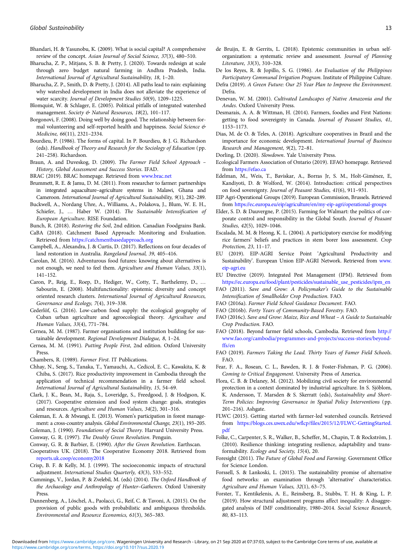<span id="page-12-0"></span>Bhandari, H. & Yasunobu, K. (2009). What is social capital? A comprehensive review of the concept. Asian Journal of Social Science, 37(3), 480–510.

- Bharucha, Z. P., Mitjans, S. B. & Pretty, J. (2020). Towards redesign at scale through zero budget natural farming in Andhra Pradesh, India. International Journal of Agricultural Sustainability, 18, 1–20.
- Bharucha, Z. P., Smith, D. & Pretty, J. (2014). All paths lead to rain: explaining why watershed development in India does not alleviate the experience of water scarcity. Journal of Development Studies 50(9), 1209–1225.
- Blomquist, W. & Schlager, E. (2005). Political pitfalls of integrated watershed management. Society & Natural Resources, 18(2), 101-117.
- Borgonovi, F. (2008). Doing well by doing good. The relationship between formal volunteering and self-reported health and happiness. Social Science & Medicine, 66(11), 2321–2334.
- Bourdieu, P. (1986). The forms of capital. In P. Bourdieu, & J. G. Richardson (eds). Handbook of Theory and Research for the Sociology of Education (pp. 241–258). Richardson.
- Braun, A. and Duveskog, D. (2009). The Farmer Field School Approach History, Global Assessment and Success Stories. IFAD.
- BRAC (2019). BRAC homepage. Retrieved from [www.brac.net](https://www.brac.net)
- Brummett, R. E. & Jamu, D. M. (2011). From researcher to farmer: partnerships in integrated aquaculture–agriculture systems in Malawi, Ghana and Cameroon. International Journal of Agricultural Sustainability, 9(1), 282–289.
- Buckwell, A., Nordang Uhre, A., Williams, A., Polakova, J., Blum, W. E. H., Schiefer, J., ... Haber W. (2014). The Sustainable Intensification of European Agriculture. RISE Foundation.
- Bunch, R. (2018). Restoring the Soil, 2nd edition. Canadian Foodgrains Bank. CaBA (2018). Catchment Based Approach: Monitoring and Evaluation.

Retrieved from <https://catchmentbasedapproach.org>

- Campbell, A., Alexandra, J. & Curtis, D. (2017). Reflections on four decades of land restoration in Australia. Rangeland Journal, 39, 405–416.
- Carolan, M. (2016). Adventurous food futures: knowing about alternatives is not enough, we need to feel them. Agriculture and Human Values, 33(1), 141–152.
- Caron, P., Reig, E., Roep, D., Hediger, W., Cotty, T., Barthelemy, D., … Sabourin, E. (2008). Multifunctionality: epistemic diversity and concept oriented research clusters. International Journal of Agricultural Resources, Governance and Ecology, 7(4), 319–338.
- Cederlöf, G. (2016). Low-carbon food supply: the ecological geography of Cuban urban agriculture and agroecological theory. Agriculture and Human Values, 33(4), 771–784.
- Cernea, M. M. (1987). Farmer organisations and institution building for sustainable development. Regional Development Dialogue, 8, 1–24.
- Cernea, M. M. (1991). Putting People First, 2nd edition. Oxford University Press.
- Chambers, R. (1989). Farmer First. IT Publications.
- Chhay, N., Seng, S., Tanaka, T., Yamauchi, A., Cedicol, E. C., Kawakita, K. & Chiba, S. (2017). Rice productivity improvement in Cambodia through the application of technical recommendation in a farmer field school. International Journal of Agricultural Sustainability, 15, 54–69.
- Clark, J. K., Bean, M., Raja, S., Loveridge, S., Freedgood, J. & Hodgson, K. (2017). Cooperative extension and food system change: goals, strategies and resources. Agriculture and Human Values, 34(2), 301–316.
- Coleman, E. A. & Mwangi, E. (2013). Women's participation in forest management: a cross-country analysis. Global Environmental Change, 23(1), 193–205.
- Coleman, J. (1990). Foundations of Social Theory. Harvard University Press. Conway, G. R. (1997). The Doubly Green Revolution. Penguin.
- Conway, G. R. & Barbier, E. (1990). After the Green Revolution. Earthscan.
- Cooperatives UK. (2018). The Cooperative Economy 2018. Retrieved from [reports.uk.coop/economy2018](http://reports.uk.coop/economy2018)
- Crisp, B. F. & Kelly, M. J. (1999). The socioeconomic impacts of structural adjustment. International Studies Quarterly, 43(3), 533–552.
- Cummings, V., Jordan, P. & Zvelebil, M. (eds) (2014). The Oxford Handbook of the Archaeology and Anthropology of Hunter–Gatherers. Oxford University Press.
- Dannenberg, A., Löschel, A., Paolacci, G., Reif, C. & Tavoni, A. (2015). On the provision of public goods with probabilistic and ambiguous thresholds. Environmental and Resource Economics, 61(3), 365–383.
- de Bruijn, E. & Gerrits, L. (2018). Epistemic communities in urban selforganization: a systematic review and assessment. Journal of Planning Literature, 33(3), 310–328.
- De los Reyes, R. & Jopillo, S. G. (1986). An Evaluation of the Philippines Participatory Communal Irrigation Program. Institute of Philippine Culture.
- Defra (2019). A Green Future: Our 25 Year Plan to Improve the Environment. Defra.
- Denevan, W. M. (2001). Cultivated Landscapes of Native Amazonia and the Andes. Oxford University Press.
- Desmarais, A. A. & Wittman, H. (2014). Farmers, foodies and First Nations: getting to food sovereignty in Canada. Journal of Peasant Studies, 41, 1153–1173.
- Dias, M. de O. & Teles, A. (2018). Agriculture cooperatives in Brazil and the importance for economic development. International Journal of Business Research and Management, 9(2), 72–81.
- Dorling, D. (2020). Slowdown. Yale University Press.
- Ecological Farmers Association of Ontario (2019). EFAO homepage. Retrieved from <https://efao.ca>
- Edelman, M., Weis, T., Baviskar, A., Borras Jr, S. M., Holt-Giménez, E, Kandiyoti, D. & Wolford, W. (2014). Introduction: critical perspectives on food sovereignty. Journal of Peasant Studies, 41(6), 911–931.
- EIP Agri-Operational Groups (2019). European Commission, Brussels. Retrieved from <https://ec.europa.eu/eip/agriculture/en/my-eip-agri/operational-groups>
- Elder, S. D. & Dauvergne, P. (2015). Farming for Walmart: the politics of corporate control and responsibility in the Global South. Journal of Peasant Studies, 42(5), 1029–1046.
- Escalada, M. M. & Heong, K. L. (2004). A participatory exercise for modifying rice farmers' beliefs and practices in stem borer loss assessment. Crop Protection, 23, 11–17.
- EU (2019). EIP-AGRI Service Point 'Agricultural Productivity and Sustainability'. European Union EIP-AGRI Network. Retrieved from [www.](https://www.eip-agri.eu) [eip-agri.eu](https://www.eip-agri.eu)
- EU Directive (2019). Integrated Pest Management (IPM). Retrieved from [https://ec.europa.eu/food/plant/pesticides/sustainable\\_use\\_pesticides/ipm\\_en](https://ec.europa.eu/food/plant/pesticides/sustainable_use_pesticides/ipm_en)
- FAO (2011). Save and Grow: A Policymaker's Guide to the Sustainable Intensification of Smallholder Crop Production. FAO.
- FAO (2016a). Farmer Field School Guidance Document. FAO.
- FAO (2016b). Forty Years of Community-Based Forestry. FAO.
- FAO (2016c). Save and Grow: Maize, Rice and Wheat A Guide to Sustainable Crop Production. FAO.
- FAO (2018). Beyond farmer field schools, Cambodia. Retrieved from [http://](http://www.fao.org/cambodia/programmes-and-projects/success-stories/beyond-ffs/en) [www.fao.org/cambodia/programmes-and-projects/success-stories/beyond](http://www.fao.org/cambodia/programmes-and-projects/success-stories/beyond-ffs/en)[ffs/en](http://www.fao.org/cambodia/programmes-and-projects/success-stories/beyond-ffs/en)
- FAO (2019). Farmers Taking the Lead. Thirty Years of Famer Field Schools. FAO.
- Fear, F. A., Rosean, C. L., Bawden, R. J. & Foster-Fishman, P. G. (2006). Coming to Critical Engagement. University Press of America.
- Flora, C. B. & Delaney, M. (2012). Mobilizing civil society for environmental protection in a context dominated by industrial agriculture. In S. Sjöblom, K. Andersson, T. Marsden & S. Skerratt (eds), Sustainability and Short-Term Policies: Improving Governance in Spatial Policy Interventions (pp. 201–216). Ashgate.
- FLWC (2015). Getting started with farmer-led watershed councils. Retrieved from [https://blogs.ces.uwex.edu/wflcp/files/2015/12/FLWC-GettingStarted.](https://blogs.ces.uwex.edu/wflcp/files/2015/12/FLWC-GettingStarted.pdf) [pdf](https://blogs.ces.uwex.edu/wflcp/files/2015/12/FLWC-GettingStarted.pdf)
- Folke, C., Carpenter, S. R., Walker, B., Scheffer, M., Chapin, T. & Rockström, J. (2010). Resilience thinking: integrating resilience, adaptability and transformability. Ecology and Society, 15(4), 20.
- Foresight (2011). The Future of Global Food and Farming. Government Office for Science London.
- Forssell, S. & Lankoski, L. (2015). The sustainability promise of alternative food networks: an examination through 'alternative' characteristics. Agriculture and Human Values, 32(1), 63–75.
- Forster, T., Kentikelenis, A. E., Reinsberg, B., Stubbs, T. H. & King, L. P. (2019). How structural adjustment programs affect inequality: A disaggregated analysis of IMF conditionality, 1980–2014. Social Science Research, 80, 83–113.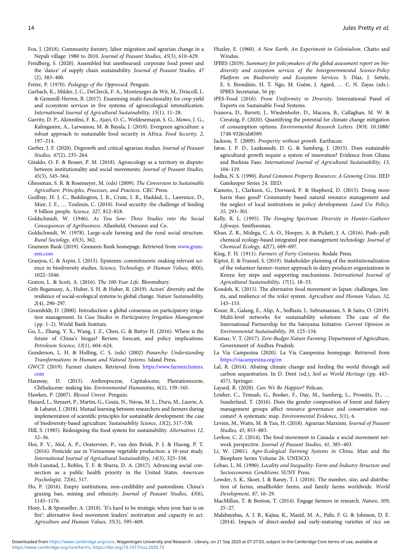- <span id="page-13-0"></span>Fox, J. (2018). Community forestry, labor migration and agrarian change in a Nepali village: 1980 to 2010. Journal of Peasant Studies, 45(3), 610–629.
- Freidberg, S. (2020). Assembled but unrehearsed: corporate food power and the 'dance' of supply chain sustainability. Journal of Peasant Studies, 47 (2), 383–400.
- Freire, P. (1970). Pedagogy of the Oppressed. Penguin.
- Garbach, K., Milder, J. C., DeClerck, F. A., Montenegro de Wit, M., Driscoll, L. & Gemmill-Herren, B. (2017). Examining multi-functionality for crop yield and ecosystem services in five systems of agroecological intensification. International Journal of Agricultural Sustainability, 15(1), 11–28.
- Garrity, D. P., Akinnifesi, F. K., Ajayi, O. C., Weldesemayat, S. G., Mowo, J. G., Kalinganire, A., Larwanou, M. & Bayala, J. (2010). Evergreen agriculture: a robust approach to sustainable food security in Africa. Food Security, 2, 197–214.
- Gerber, J. F. (2020). Degrowth and critical agrarian studies. Journal of Peasant Studies, 47(2), 235–264.
- Giraldo, O. F. & Rosset, P. M. (2018). Agroecology as a territory in dispute: between institutionality and social movements. Journal of Peasant Studies, 45(3), 545–564.
- Gliessman, S. R. & Rosemeyer, M. (eds) (2009). The Conversion to Sustainable Agriculture: Principles, Processes, and Practices. CRC Press.
- Godfray, H. J. C., Beddington, J. R., Crute, I. R., Haddad, L., Lawrence, D., Muir, J. F., … Toulmin, C. (2010). Food security: the challenge of feeding 9 billion people. Science, 327, 812–818.
- Goldschmidt, W. (1946). As You Sow: Three Studies into the Social Consequences of Agribusiness. Allanheld, Osmunn and Co.
- Goldschmidt, W. (1978). Large-scale farming and the rural social structure. Rural Sociology, 43(3), 362.
- Grameen Bank (2019). Grameen Bank homepage. Retrieved from [www.gram](http://www.grameen.com)[een.com](http://www.grameen.com)
- Granjou, C. & Arpin, I. (2015). Epistemic commitments: making relevant science in biodiversity studies. Science, Technology, & Human Values, 40(6), 1022–1046.
- Graton, L. & Scott, A. (2016). The 100-Year Life. Bloomsbury.
- Grêt-Regamany, A., Huber, S. H. & Huber, R. (2019). Actors' diversity and the resilience of social-ecological systems to global change. Nature Sustainability, 2(4), 290–297.
- Groenfeldt, D. (2000). Introduction: a global consensus on participatory irrigation management. In Case Studies in Participatory Irrigation Management (pp. 1–2). World Bank Institute.
- Gu, L., Zhang, Y. X., Wang, J. Z., Chen, G. & Battye H. (2016). Where is the future of China's biogas? Review, forecast, and policy implications. Petroleum Science, 13(1), 604–624.
- Gunderson, L. H. & Holling, C. S. (eds) (2002) Panarchy: Understanding Transformations in Human and Natural Systems. Island Press.
- GWCT (2019). Farmer clusters. Retrieved from [https://www.farmerclusters.](https://www.farmerclusters.com) [com](https://www.farmerclusters.com)
- Haraway, D. (2015). Anthropocene, Capitalocene, Plantationocene, Chthulucene: making kin. Environmental Humanities, 6(1), 159–165. Hawken, P. (2007). Blessed Unrest. Penguin.
- Hazard, L., Steyaert, P., Martin, G., Couix, N., Navas, M. L., Duru, M., Lauvie, A.
- & Labatut, J. (2018). Mutual learning between researchers and farmers during implementation of scientific principles for sustainable development: the case of biodiversity-based agriculture. Sustainability Science, 13(2), 517–530.
- Hill, S. (1985). Redesigning the food system for sustainability. Alternatives 12, 32–36.
- Hoi, P. V., Mol, A. P., Oosterveer, P., van den Brink, P. J. & Huong, P. T. (2016). Pesticide use in Vietnamese vegetable production: a 10-year study. International Journal of Agricultural Sustainability, 14(3), 325–338.
- Holt-Lunstad, J., Robles, T. F. & Sbarra, D. A. (2017). Advancing social connection as a public health priority in the United States. American Psychologist, 72(6), 517.
- Ho, P. (2016). Empty institutions, non-credibility and pastoralism: China's grazing ban, mining and ethnicity. Journal of Peasant Studies, 43(6), 1145–1176.
- Hoey, L. & Sponseller, A. (2018). 'It's hard to be strategic when your hair is on fire': alternative food movement leaders' motivation and capacity to act. Agriculture and Human Values, 35(3), 595–609.
- Huxley, E. (1960). A New Earth. An Experiment in Colonialism. Chatto and Windus.
- IPBES (2019). Summary for policymakers of the global assessment report on biodiversity and ecosystem services of the Intergovernmental Science-Policy Platform on Biodiversity and Ecosystem Services. S. Díaz, J. Settele, E. S. Brondízio, H. T. Ngo, M. Guèze, J. Agard, … C. N. Zayas (eds.). IPBES Secretariat, 56 pp.
- iPES-Food (2016). From Uniformity to Diversity. International Panel of Experts on Sustainable Food Systems.
- Ivanova, D., Barrett, J., Wiedenhofer, D., Macura, B., Callaghan, M. W. & Creutzig, F. (2020). Quantifying the potential for climate change mitigation of consumption options. Environmental Research Letters. DOI: 10.1088/ 1748-9326/ab8589.
- Jackson, T. (2009). Prosperity without growth. Earthscan.
- Jatoe, J. P. D., Lankoandè, D. G. & Sumberg, J. (2015). Does sustainable agricultural growth require a system of innovation? Evidence from Ghana and Burkina Faso. International Journal of Agricultural Sustainability, 13, 104–119.
- Jodha, N. S. (1990). Rural Common Property Resources: A Growing Crisis. IIED Gatekeeper Series 24. IIED.
- Kamoto, J., Clarkson, G., Dorward, P. & Shepherd, D. (2013). Doing more harm than good? Community based natural resource management and the neglect of local institutions in policy development. Land Use Policy, 35, 293–301.
- Kelly, R. L. (1995). The Foraging Spectrum: Diversity in Hunter–Gatherer Lifeways. Smithsonian.
- Khan, Z. R., Midega, C. A. O., Hooper, A. & Pickett, J. A. (2016). Push–pull: chemical ecology-based integrated pest management technology. Journal of Chemical Ecology, 42(7), 689–697.
- King, F. H. (1911). Farmers of Forty Centuries. Rodale Press.
- Kiptot, E. & Franzel, S. (2019). Stakeholder planning of the institutionalization of the volunteer farmer–trainer approach in dairy producer organizations in Kenya: key steps and supporting mechanisms. International Journal of Agricultural Sustainability, 17(1), 18–33.
- Kondoh, K. (2015). The alternative food movement in Japan: challenges, limits, and resilience of the teikei system. Agriculture and Human Values, 32, 143–153.
- Kozar, R., Galang, E., Alip, A., Sedhain, J., Subramanian, S. & Saito, O. (2019). Multi-level networks for sustainability solutions: The case of the International Partnership for the Satoyama Initiative. Current Opinion in Environmental Sustainability, 39, 123–134.
- Kumar, V. T. (2017). Zero-Budget Nature Farming. Department of Agriculture, Government of Andhra Pradesh.
- La Vía Campesina (2020). La Vía Campesina homepage. Retrieved from <https://viacampesina.org/en>
- Lal, R. (2014). Abating climate change and feeding the world through soil carbon sequestration. In D. Dent (ed.), Soil as World Heritage (pp. 443– 457). Springer.
- Layard, R. (2020). Can We Be Happier? Pelican.
- Leisher, C., Temsah, G., Booker, F., Day, M., Samberg, L., Prosnitz, D., … Sunderland, T. (2016). Does the gender composition of forest and fishery management groups affect resource governance and conservation outcomes? A systematic map. Environmental Evidence, 5(1), 6.
- Levien, M., Watts, M. & Yan, H. (2018). Agrarian Marxism. Journal of Peasant Studies, 45, 853–883.
- Levkoe, C. Z. (2014). The food movement in Canada: a social movement network perspective. Journal of Peasant Studies, 41, 385–403.
- Li, W. (2001). Agro-Ecological Farming Systems in China. Man and the Biosphere Series Volume 26. UNESCO.
- Lobao, L. M. (1990). Locality and Inequality: Farm and Industry Structure and Socioeconomic Conditions. SUNY Press.
- Lowder, S. K., Skoet, J. & Raney, T. l. (2016). The number, size, and distribution of farms, smallholder farms, and family farms worldwide. World Development, 87, 16–29.
- MacMillan, T. & Benton, T. (2014). Engage farmers in research. Nature, 509, 25–27.
- Malabayabas, A. J. B., Kajisa, K., Mazid, M. A., Palis, F. G. & Johnson, D. E. (2014). Impacts of direct-seeded and early-maturing varieties of rice on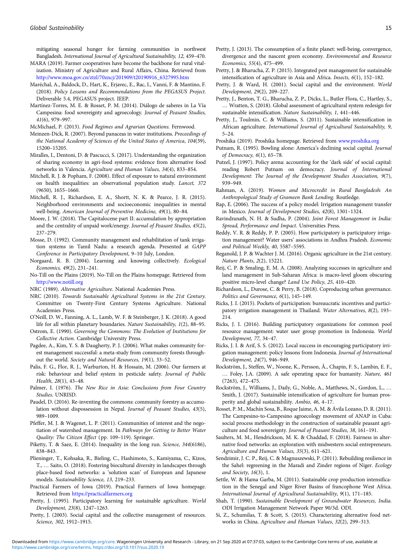<span id="page-14-0"></span>mitigating seasonal hunger for farming communities in northwest Bangladesh. International Journal of Agricultural Sustainability, 12, 459–470.

- MARA (2019). Farmer cooperatives have become the backbone for rural vitalization. Ministry of Agriculture and Rural Affairs, China. Retrieved from [http://www.moa.gov.cn/ztzl/70zncj/201909/t20190916\\_6327995.htm](http://www.moa.gov.cn/ztzl/70zncj/201909/t20190916_6327995.htm)
- Maréchal, A., Baldock, D., Hart, K., Erjavec, E., Rac, I., Vanni, F. & Mantino, F. (2018). Policy Lessons and Recommendations from the PEGASUS Project. Deliverable 5.4, PEGASUS project. IEEP.
- Martínez-Torres, M. E. & Rosset, P. M. (2014). Diálogo de saberes in La Vía Campesina: food sovereignty and agroecology. Journal of Peasant Studies, 41(6), 979–997.
- McMichael, P. (2013). Food Regimes and Agrarian Questions. Fernwood.
- Meinzen-Dick, R. (2007). Beyond panaceas in water institutions. Proceedings of the National Academy of Sciences of the United States of America, 104(39), 15200–15205.
- Miralles, I., Dentoni, D. & Pascucci, S. (2017). Understanding the organization of sharing economy in agri-food systems: evidence from alternative food networks in Valencia. Agriculture and Human Values, 34(4), 833–854.
- Mitchell, R. J. & Popham, F. (2008). Effect of exposure to natural environment on health inequalities: an observational population study. Lancet, 372 (9650), 1655–1660.
- Mitchell, R. J., Richardson, E. A., Shortt, N. K. & Pearce, J. R. (2015). Neighborhood environments and socioeconomic inequalities in mental well-being. American Journal of Preventive Medicine, 49(1), 80–84.
- Moore, J. W. (2018). The Capitalocene part II: accumulation by appropriation and the centrality of unpaid work/energy. Journal of Peasant Studies, 45(2), 237–279.
- Mosse, D. (1992). Community management and rehabilitation of tank irrigation systems in Tamil Nadu: a research agenda. Presented at GAPP Conference in Participatory Development, 9–10 July, London.
- Norgaard, R. B. (2004). Learning and knowing collectively. Ecological Economics, 49(2), 231–241.
- No-Till on the Plains (2019). No-Till on the Plains homepage. Retrieved from <http://www.notill.org>
- NRC (1989). Alternative Agriculture. National Academies Press.
- NRC (2010). Towards Sustainable Agricultural Systems in the 21st Century. Committee on Twenty-First Century Systems Agriculture. National Academies Press.
- O'Neill, D. W., Fanning, A. L., Lamb, W. F. & Steinberger, J. K. (2018). A good life for all within planetary boundaries. Nature Sustainability, 1(2), 88–95.
- Ostrom, E. (1990). Governing the Commons: The Evolution of Institutions for Collective Action. Cambridge University Press.
- Pagdee, A., Kim, Y. S. & Daugherty, P. J. (2006). What makes community forest management successful: a meta-study from community forests throughout the world. Society and Natural Resources, 19(1), 33–52.
- Palis, F. G., Flor, R. J., Warburton, H. & Hossain, M. (2006). Our farmers at risk: behaviour and belief system in pesticide safety. Journal of Public Health, 28(1), 43–48.
- Palmer, I. (1976). The New Rice in Asia: Conclusions from Four Country Studies. UNRISD.
- Paudel, D. (2016). Re-inventing the commons: community forestry as accumulation without dispossession in Nepal. Journal of Peasant Studies, 43(5), 989–1009.
- Pfeffer, M. J. & Wagenet, L. P. (2011). Communities of interest and the negotiation of watershed management. In Pathways for Getting to Better Water Quality: The Citizen Effect (pp. 109–119). Springer.
- Piketty, T. & Saez, E. (2014). Inequality in the long run. Science, 344(6186), 838–843.
- Plieninger, T., Kohsaka, R., Bieling, C., Hashimoto, S., Kamiyama, C., Kizos, T., … Saito, O. (2018). Fostering biocultural diversity in landscapes through place-based food networks: a 'solution scan' of European and Japanese models. Sustainability Science, 13, 219–233.
- Practical Farmers of Iowa (2019). Practical Farmers of Iowa homepage. Retrieved from <https://practicalfarmers.org>
- Pretty, J. (1995). Participatory learning for sustainable agriculture. World Development, 23(8), 1247–1263.
- Pretty, J. (2003). Social capital and the collective management of resources. Science, 302, 1912–1915.
- Pretty, J. (2013). The consumption of a finite planet: well-being, convergence, divergence and the nascent green economy. Environmental and Resource Economics, 55(4), 475–499.
- Pretty, J. & Bharucha, Z. P. (2015). Integrated pest management for sustainable intensification of agriculture in Asia and Africa. Insects, 6(1), 152–182.
- Pretty, J. & Ward, H. (2001). Social capital and the environment. World Development, 29(2), 209–227.
- Pretty, J., Benton, T. G., Bharucha, Z. P., Dicks, L., Butler Flora, C., Hartley, S., … Wratten, S. (2018). Global assessment of agricultural system redesign for sustainable intensification. Nature Sustainability, 1, 441–446.
- Pretty, J., Toulmin, C. & Williams, S. (2011). Sustainable intensification in African agriculture. International Journal of Agricultural Sustainability, 9, 5–24.
- Proshika (2019). Proshika homepage. Retrieved from [www.proshika.org](https://www.proshika.org)
- Putnam, R. (1995). Bowling alone: America's declining social capital. Journal of Democracy, 6(1), 65–78.
- Putzel, J. (1997). Policy arena: accounting for the 'dark side' of social capital: reading Robert Putnam on democracy. Journal of International Development: The Journal of the Development Studies Association, 9(7), 939–949.
- Rahman, A. (2019). Women and Microcredit in Rural Bangladesh: An Anthropological Study of Grameen Bank Lending. Routledge.
- Rap, E. (2006). The success of a policy model: Irrigation management transfer in Mexico. Journal of Development Studies, 42(8), 1301–1324.
- Ravindranath, N. H. & Sudha, P. (2004). Joint Forest Management in India: Spread, Performance and Impact. Universities Press.
- Reddy, V. R. & Reddy, P. P. (2005). How participatory is participatory irrigation management? Water users' associations in Andhra Pradesh. Economic and Political Weekly, 40, 5587–5595.
- Reganold, J. P. & Wachter J. M. (2016). Organic agriculture in the 21st century. Nature Plants, 2(2), 15221.
- Reij, C. P. & Smaling, E. M. A. (2008). Analyzing successes in agriculture and land management in Sub-Saharan Africa: is macro-level gloom obscuring positive micro-level change? Land Use Policy, 25, 410–420.
- Richardson, L., Durose, C. & Perry, B. (2018). Coproducing urban governance. Politics and Governance, 6(1), 145–149.
- Ricks, J. I. (2015). Pockets of participation: bureaucratic incentives and participatory irrigation management in Thailand. Water Alternatives, 8(2), 193-214.
- Ricks, J. I. (2016). Building participatory organizations for common pool resource management: water user group promotion in Indonesia. World Development, 77, 34–47.
- Ricks, J. I. & Arif, S. S. (2012). Local success in encouraging participatory irrigation management: policy lessons from Indonesia. Journal of International Development, 24(7), 946–949.
- Rockström, J., Steffen, W., Noone, K., Persson, Å., Chapin, F. S., Lambin, E. F., … Foley, J.A. (2009). A safe operating space for humanity. Nature, 461 (7263), 472–475.
- Rockström, J., Williams, J., Daily, G., Noble, A., Matthews, N., Gordon, L., … Smith, J. (2017). Sustainable intensification of agriculture for human prosperity and global sustainability. Ambio, 46, 4–17.
- Rosset, P. M., Machín Sosa, B., Roque Jaime, A. M. & Ávila Lozano, D. R. (2011). The Campesino-to-Campesino agroecology movement of ANAP in Cuba: social process methodology in the construction of sustainable peasant agriculture and food sovereignty. Journal of Peasant Studies, 38, 161–191.
- Saulters, M. M., Hendrickson, M. K. & Chaddad, F. (2018). Fairness in alternative food networks: an exploration with midwestern social entrepreneurs. Agriculture and Human Values, 35(3), 611–621.
- Sendzimir, J. C. P., Reij, C. & Magnuszewski, P. (2011). Rebuilding resilience in the Sahel: regreening in the Maradi and Zinder regions of Niger. Ecology and Society, 16(3), 1.
- Settle, W. & Hama Garba, M. (2011). Sustainable crop production intensification in the Senegal and Niger River Basins of francophone West Africa. International Journal of Agricultural Sustainability, 9(1), 171–185.
- Shah, T. (1990). Sustainable Development of Groundwater Resources, India. ODI Irrigation Management Network Paper 90/3d. ODI.
- Si, Z., Schumilas, T. & Scott, S. (2015). Characterizing alternative food networks in China. Agriculture and Human Values, 32(2), 299–313.